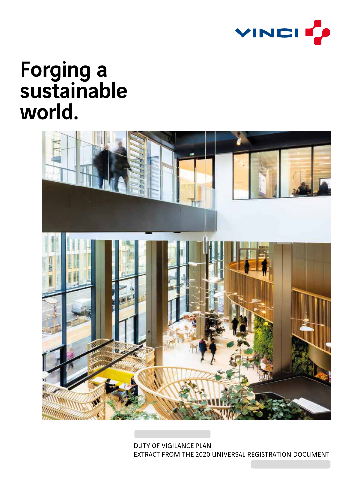

# Forging a sustainable world.



DUTY OF VIGILANCE PLAN EXTRACT FROM THE 2020 UNIVERSAL REGISTRATION DOCUMENT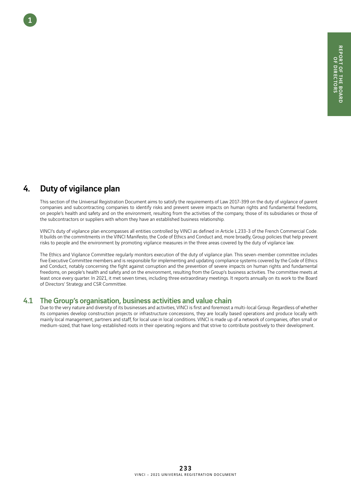## 4. Duty of vigilance plan

1

This section of the Universal Registration Document aims to satisfy the requirements of Law 2017-399 on the duty of vigilance of parent companies and subcontracting companies to identify risks and prevent severe impacts on human rights and fundamental freedoms, on people's health and safety and on the environment, resulting from the activities of the company, those of its subsidiaries or those of the subcontractors or suppliers with whom they have an established business relationship.

VINCI's duty of vigilance plan encompasses all entities controlled by VINCI as defined in Article L.233-3 of the French Commercial Code. It builds on the commitments in the VINCI Manifesto, the Code of Ethics and Conduct and, more broadly, Group policies that help prevent risks to people and the environment by promoting vigilance measures in the three areas covered by the duty of vigilance law.

The Ethics and Vigilance Committee regularly monitors execution of the duty of vigilance plan. This seven-member committee includes five Executive Committee members and is responsible for implementing and updating compliance systems covered by the Code of Ethics and Conduct, notably concerning the fight against corruption and the prevention of severe impacts on human rights and fundamental freedoms, on people's health and safety and on the environment, resulting from the Group's business activities. The committee meets at least once every quarter. In 2021, it met seven times, including three extraordinary meetings. It reports annually on its work to the Board of Directors' Strategy and CSR Committee.

### 4.1 The Group's organisation, business activities and value chain

Due to the very nature and diversity of its businesses and activities, VINCI is first and foremost a multi-local Group. Regardless of whether its companies develop construction projects or infrastructure concessions, they are locally based operations and produce locally with mainly local management, partners and staff, for local use in local conditions. VINCI is made up of a network of companies, often small or medium-sized, that have long-established roots in their operating regions and that strive to contribute positively to their development.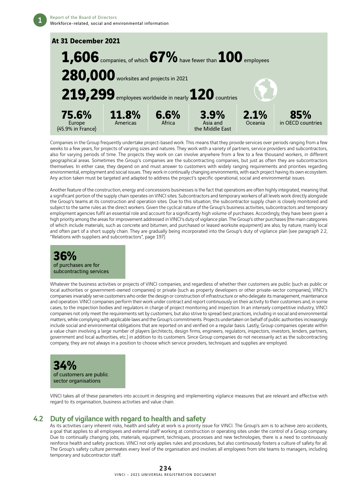

Companies in the Group frequently undertake project-based work. This means that they provide services over periods ranging from a few weeks to a few years, for projects of varying sizes and natures. They work with a variety of partners, service providers and subcontractors, also for varying periods of time. The projects they work on can involve anywhere from a few to a few thousand workers, in different geographical areas. Sometimes the Group's companies are the subcontracting companies, but just as often they are subcontractors themselves. In either case, they depend on and must answer to customers with widely ranging requirements and priorities regarding environmental, employment and social issues. They work in continually changing environments, with each project having its own ecosystem. Any action taken must be targeted and adapted to address the project's specific operational, social and environmental issues.

Another feature of the construction, energy and concessions businesses is the fact that operations are often highly integrated, meaning that a significant portion of the supply chain operates on VINCI sites. Subcontractors and temporary workers of all levels work directly alongside the Group's teams at its construction and operation sites. Due to this situation, the subcontractor supply chain is closely monitored and subject to the same rules as the direct workers. Given the cyclical nature of the Group's business activities, subcontractors and temporary employment agencies fulfil an essential role and account for a significantly high volume of purchases. Accordingly, they have been given a high priority among the areas for improvement addressed in VINCI's duty of vigilance plan. The Group's other purchases (the main categories of which include materials, such as concrete and bitumen, and purchased or leased worksite equipment) are also, by nature, mainly local and often part of a short supply chain. They are gradually being incorporated into the Group's duty of vigilance plan (see paragraph 2.2, "Relations with suppliers and subcontractors", page 197).

### **36%** of purchases are for subcontracting services

Whatever the business activities or projects of VINCI companies, and regardless of whether their customers are public (such as public or local authorities or government-owned companies) or private (such as property developers or other private-sector companies), VINCI's companies invariably serve customers who order the design or construction of infrastructure or who delegate its management, maintenance and operation. VINCI companies perform their work under contract and report continuously on their activity to their customers and, in some cases, to the inspection bodies and regulators in charge of project monitoring and inspection. In an intensely competitive industry, VINCI companies not only meet the requirements set by customers, but also strive to spread best practices, including in social and environmental matters, while complying with applicable laws and the Group's commitments. Projects undertaken on behalf of public authorities increasingly include social and environmental obligations that are reported on and verified on a regular basis. Lastly, Group companies operate within a value chain involving a large number of players (architects, design firms, engineers, regulators, inspectors, investors, lenders, partners, government and local authorities, etc.) in addition to its customers. Since Group companies do not necessarily act as the subcontracting company, they are not always in a position to choose which service providers, techniques and supplies are employed.



VINCI takes all of these parameters into account in designing and implementing vigilance measures that are relevant and effective with regard to its organisation, business activities and value chain.

### 4.2 Duty of vigilance with regard to health and safety

As its activities carry inherent risks, health and safety at work is a priority issue for VINCI. The Group's aim is to achieve zero accidents, a goal that applies to all employees and external staff working at construction or operating sites under the control of a Group company. Due to continually changing jobs, materials, equipment, techniques, processes and new technologies, there is a need to continuously reinforce health and safety practices. VINCI not only applies rules and procedures, but also continuously fosters a culture of safety for all. The Group's safety culture permeates every level of the organisation and involves all employees from site teams to managers, including temporary and subcontractor staff.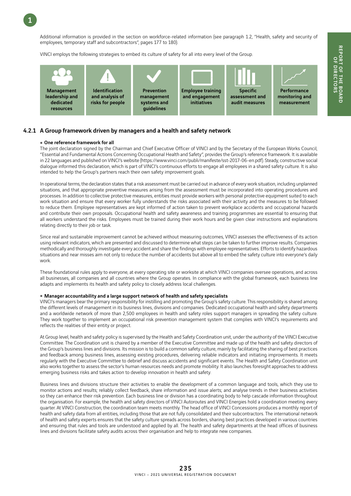1

Additional information is provided in the section on workforce-related information (see paragraph 1.2, "Health, safety and security of employees, temporary staff and subcontractors", pages 177 to 180).

VINCI employs the following strategies to embed its culture of safety for all into every level of the Group.



### 4.2.1 A Group framework driven by managers and a health and safety network

#### • One reference framework for all

The joint declaration signed by the Chairman and Chief Executive Officer of VINCI and by the Secretary of the European Works Council, "Essential and Fundamental Actions Concerning Occupational Health and Safety", provides the Group's reference framework. It is available in 22 languages and published on VINCI's website (https://www.vinci.com/publi/manifeste/sst-2017-06-en.pdf). Steady, constructive social dialogue informed this declaration, which is part of VINCI's continuous efforts to engage all employees in a shared safety culture. It is also intended to help the Group's partners reach their own safety improvement goals.

In operational terms, the declaration states that a risk assessment must be carried out in advance of every work situation, including unplanned situations, and that appropriate preventive measures arising from the assessment must be incorporated into operating procedures and processes. In addition to collective protective measures, entities must provide workers with personal protective equipment suited to each work situation and ensure that every worker fully understands the risks associated with their activity and the measures to be followed to reduce them. Employee representatives are kept informed of action taken to prevent workplace accidents and occupational hazards and contribute their own proposals. Occupational health and safety awareness and training programmes are essential to ensuring that all workers understand the risks. Employees must be trained during their work hours and be given clear instructions and explanations relating directly to their job or task.

Since real and sustainable improvement cannot be achieved without measuring outcomes, VINCI assesses the effectiveness of its action using relevant indicators, which are presented and discussed to determine what steps can be taken to further improve results. Companies methodically and thoroughly investigate every accident and share the findings with employee representatives. Efforts to identify hazardous situations and near misses aim not only to reduce the number of accidents but above all to embed the safety culture into everyone's daily work.

These foundational rules apply to everyone, at every operating site or worksite at which VINCI companies oversee operations, and across all businesses, all companies and all countries where the Group operates. In compliance with the global framework, each business line adapts and implements its health and safety policy to closely address local challenges.

#### • Manager accountability and a large support network of health and safety specialists

VINCI's managers bear the primary responsibility for instilling and promoting the Group's safety culture. This responsibility is shared among the different levels of management in its business lines, divisions and companies. Dedicated occupational health and safety departments and a worldwide network of more than 2,500 employees in health and safety roles support managers in spreading the safety culture. They work together to implement an occupational risk prevention management system that complies with VINCI's requirements and reflects the realities of their entity or project.

At Group level, health and safety policy is supervised by the Health and Safety Coordination unit, under the authority of the VINCI Executive Committee. The Coordination unit is chaired by a member of the Executive Committee and made up of the health and safety directors of the Group's business lines and divisions. Its mission is to build a common safety culture, mainly by facilitating the sharing of best practices and feedback among business lines, assessing existing procedures, delivering reliable indicators and initiating improvements. It meets regularly with the Executive Committee to debrief and discuss accidents and significant events. The Health and Safety Coordination unit also works together to assess the sector's human resources needs and promote mobility. It also launches foresight approaches to address emerging business risks and takes action to develop innovation in health and safety.

Business lines and divisions structure their activities to enable the development of a common language and tools, which they use to monitor actions and results; reliably collect feedback, share information and issue alerts; and analyse trends in their business activities so they can enhance their risk prevention. Each business line or division has a coordinating body to help cascade information throughout the organisation. For example, the health and safety directors of VINCI Autoroutes and VINCI Energies hold a coordination meeting every quarter. At VINCI Construction, the coordination team meets monthly. The head office of VINCI Concessions produces a monthly report of health and safety data from all entities, including those that are not fully consolidated and their subcontractors. The international network of health and safety experts ensures that the safety culture spreads across borders, sharing best practices developed in various countries and ensuring that rules and tools are understood and applied by all. The health and safety departments at the head offices of business lines and divisions facilitate safety audits across their organisation and help to integrate new companies.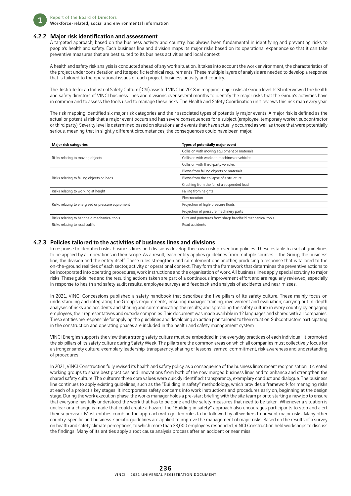

#### 4.2.2 Major risk identification and assessment

A targeted approach, based on the business activity and country, has always been fundamental in identifying and preventing risks to people's health and safety. Each business line and division maps its major risks based on its operational experience so that it can take preventive measures that are best suited to its business activities and local context.

A health and safety risk analysis is conducted ahead of any work situation. It takes into account the work environment, the characteristics of the project under consideration and its specific technical requirements. These multiple layers of analysis are needed to develop a response that is tailored to the operational issues of each project, business activity and country.

The Institute for an Industrial Safety Culture (ICSI) assisted VINCI in 2018 in mapping major risks at Group level. ICSI interviewed the health and safety directors of VINCI business lines and divisions over several months to identify the major risks that the Group's activities have in common and to assess the tools used to manage these risks. The Health and Safety Coordination unit reviews this risk map every year.

The risk mapping identified six major risk categories and their associated types of potentially major events. A major risk is defined as the actual or potential risk that a major event occurs and has severe consequences for a subject (employee, temporary worker, subcontractor or third party). Severity level is determined based on situations and events that have actually occurred as well as those that were potentially serious, meaning that in slightly different circumstances, the consequences could have been major.

| <b>Major risk categories</b>                      | Types of potentially major event                        |
|---------------------------------------------------|---------------------------------------------------------|
|                                                   | Collision with moving equipment or materials            |
| Risks relating to moving objects                  | Collision with worksite machines or vehicles            |
|                                                   | Collision with third-party vehicles                     |
|                                                   | Blows from falling objects or materials                 |
| Risks relating to falling objects or loads        | Blows from the collapse of a structure                  |
|                                                   | Crushing from the fall of a suspended load              |
| Risks relating to working at height               | Falling from heights                                    |
|                                                   | Electrocution                                           |
| Risks relating to energised or pressure equipment | Projection of high-pressure fluids                      |
|                                                   | Projection of pressure machinery parts                  |
| Risks relating to handheld mechanical tools       | Cuts and punctures from sharp handheld mechanical tools |
| Risks relating to road traffic                    | Road accidents                                          |

#### 4.2.3 Policies tailored to the activities of business lines and divisions

In response to identified risks, business lines and divisions develop their own risk prevention policies. These establish a set of guidelines to be applied by all operations in their scope. As a result, each entity applies guidelines from multiple sources – the Group, the business line, the division and the entity itself. These rules strengthen and complement one another, producing a response that is tailored to the on-the-ground realities of each sector, activity or operational context. They form the framework that determines the preventive actions to be incorporated into operating procedures, work instructions and the organisation of work. All business lines apply special scrutiny to major risks. These guidelines and the resulting actions taken are part of a continuous improvement effort and are regularly reviewed, especially in response to health and safety audit results, employee surveys and feedback and analysis of accidents and near misses.

In 2021, VINCI Concessions published a safety handbook that describes the five pillars of its safety culture. These mainly focus on understanding and integrating the Group's requirements; ensuring manager training, involvement and evaluation; carrying out in-depth analyses of risks and accidents and sharing and communicating the results; and spreading the safety culture in every country by engaging employees, their representatives and outside companies. This document was made available in 12 languages and shared with all companies. These entities are responsible for applying the guidelines and developing an action plan tailored to their situation. Subcontractors participating in the construction and operating phases are included in the health and safety management system.

VINCI Energies supports the view that a strong safety culture must be embedded in the everyday practices of each individual. It promoted the six pillars of its safety culture during Safety Week. The pillars are the common areas on which all companies must collectively focus for a stronger safety culture: exemplary leadership, transparency, sharing of lessons learned, commitment, risk awareness and understanding of procedures.

In 2021, VINCI Construction fully revised its health and safety policy, as a consequence of the business line's recent reorganisation. It created working groups to share best practices and innovations from both of the now merged business lines and to enhance and strengthen the shared safety culture. The culture's three core values were quickly identified: transparency, exemplary conduct and dialogue. The business line continues to apply existing guidelines, such as the "Building in safety" methodology, which provides a framework for managing risks at each of a project's key stages. It incorporates safety concerns into work instructions and procedures early on, beginning at the design stage. During the work execution phase, the works manager holds a pre-start briefing with the site team prior to starting a new job to ensure that everyone has fully understood the work that has to be done and the safety measures that need to be taken. Whenever a situation is unclear or a change is made that could create a hazard, the "Building in safety" approach also encourages participants to stop and alert their supervisor. Most entities combine the approach with golden rules to be followed by all workers to prevent major risks. Many other country-specific and business-specific guidelines are applied to improve the management of major risks. Based on the results of a survey on health and safety climate perceptions, to which more than 33,000 employees responded, VINCI Construction held workshops to discuss the findings. Many of its entities apply a root cause analysis process after an accident or near miss.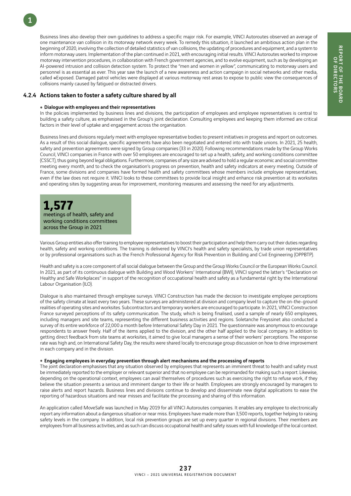Business lines also develop their own guidelines to address a specific major risk. For example, VINCI Autoroutes observed an average of one maintenance van collision in its motorway network every week. To remedy this situation, it launched an ambitious action plan in the beginning of 2020, involving the collection of detailed statistics of van collisions, the updating of procedures and equipment, and a system to inform motorway users. Implementation of the plan continued in 2021, with encouraging initial results. VINCI Autoroutes worked to improve motorway intervention procedures, in collaboration with French government agencies, and to evolve equipment, such as by developing an AI-powered intrusion and collision detection system. To protect the "men and women in yellow", communicating to motorway users and personnel is as essential as ever. This year saw the launch of a new awareness and action campaign in social networks and other media, called #Exposed. Damaged patrol vehicles were displayed at various motorway rest areas to expose to public view the consequences of collisions mainly caused by fatigued or distracted drivers.

#### 4.2.4 Actions taken to foster a safety culture shared by all

#### • Dialogue with employees and their representatives

In the policies implemented by business lines and divisions, the participation of employees and employee representatives is central to building a safety culture, as emphasised in the Group's joint declaration. Consulting employees and keeping them informed are critical factors in their level of uptake and engagement across the organisation.

Business lines and divisions regularly meet with employee representative bodies to present initiatives in progress and report on outcomes. As a result of this social dialogue, specific agreements have also been negotiated and entered into with trade unions. In 2021, 25 health, safety and prevention agreements were signed by Group companies (33 in 2020). Following recommendations made by the Group Works Council, VINCI companies in France with over 50 employees are encouraged to set up a health, safety, and working conditions committee (CSSCT), thus going beyond legal obligations. Furthermore, companies of any size are advised to hold a regular economic and social committee meeting every month, and to check the organisation's progress on prevention, health and safety indicators at every meeting. Outside of France, some divisions and companies have formed health and safety committees whose members include employee representatives, even if the law does not require it. VINCI looks to these committees to provide local insight and enhance risk prevention at its worksites and operating sites by suggesting areas for improvement, monitoring measures and assessing the need for any adjustments.

## **1,577**

1

meetings of health, safety and working conditions committees across the Group in 2021

Various Group entities also offer training to employee representatives to boost their participation and help them carry out their duties regarding health, safety and working conditions. The training is delivered by VINCI's health and safety specialists, by trade union representatives or by professional organisations such as the French Professional Agency for Risk Prevention in Building and Civil Engineering (OPPBTP).

Health and safety is a core component of all social dialogue between the Group and the Group Works Council or the European Works Council. In 2021, as part of its continuous dialogue with Building and Wood Workers' International (BWI), VINCI signed the latter's "Declaration on Healthy and Safe Workplaces" in support of the recognition of occupational health and safety as a fundamental right by the International Labour Organisation (ILO).

Dialogue is also maintained through employee surveys. VINCI Construction has made the decision to investigate employee perceptions of the safety climate at least every two years. These surveys are administered at division and company level to capture the on-the-ground realities of operating sites and worksites. Subcontractors and temporary workers are encouraged to participate. In 2021, VINCI Construction France surveyed perceptions of its safety communication. The study, which is being finalised, used a sample of nearly 650 employees, including managers and site teams, representing the different business activities and regions. Soletanche Freyssinet also conducted a survey of its entire workforce of 22,000 a month before International Safety Day in 2021. The questionnaire was anonymous to encourage respondents to answer freely. Half of the items applied to the division, and the other half applied to the local company. In addition to getting direct feedback from site teams at worksites, it aimed to give local managers a sense of their workers' perceptions. The response rate was high and, on International Safety Day, the results were shared locally to encourage group discussion on how to drive improvement in each company and in the division.

#### $\bullet$  Engaging employees in everyday prevention through alert mechanisms and the processing of reports

The joint declaration emphasises that any situation observed by employees that represents an imminent threat to health and safety must be immediately reported to the employer or relevant superior and that no employee can be reprimanded for making such a report. Likewise, depending on the operational context, employees can avail themselves of procedures such as exercising the right to refuse work, if they believe the situation presents a serious and imminent danger to their life or health. Employees are strongly encouraged by managers to raise alerts and report hazards. Business lines and divisions continue to develop and disseminate new digital applications to ease the reporting of hazardous situations and near misses and facilitate the processing and sharing of this information.

An application called MoveSafe was launched in May 2019 for all VINCI Autoroutes companies. It enables any employee to electronically report any information about a dangerous situation or near miss. Employees have made more than 3,500 reports, together helping to raising safety levels in the company. In addition, local risk prevention groups are set up every quarter in regional divisions. Their members are employees from all business activities, and as such can discuss occupational health and safety issues with full knowledge of the local context.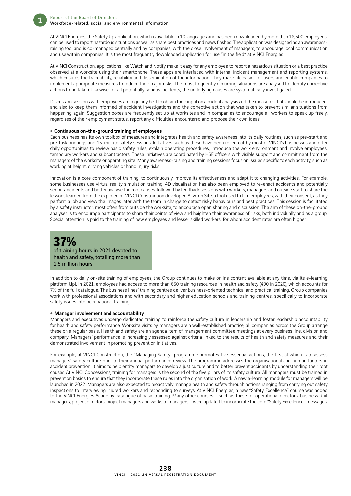At VINCI Energies, the Safety Up application, which is available in 10 languages and has been downloaded by more than 18,500 employees, can be used to report hazardous situations as well as share best practices and news flashes. The application was designed as an awarenessraising tool and is co-managed centrally and by companies, with the close involvement of managers, to encourage local communication and use within companies. It is the most frequently downloaded application for use "in the field" at VINCI Energies.

At VINCI Construction, applications like Watch and Notify make it easy for any employee to report a hazardous situation or a best practice observed at a worksite using their smartphone. These apps are interfaced with internal incident management and reporting systems, which ensures the traceability, reliability and dissemination of the information. They make life easier for users and enable companies to implement appropriate measures to reduce their major risks. The most frequently occurring situations are analysed to identify corrective actions to be taken. Likewise, for all potentially serious incidents, the underlying causes are systematically investigated.

Discussion sessions with employees are regularly held to obtain their input on accident analysis and the measures that should be introduced, and also to keep them informed of accident investigations and the corrective action that was taken to prevent similar situations from happening again. Suggestion boxes are frequently set up at worksites and in companies to encourage all workers to speak up freely, regardless of their employment status, report any difficulties encountered and propose their own ideas.

#### • Continuous on-the-ground training of employees

Each business has its own toolbox of measures and integrates health and safety awareness into its daily routines, such as pre-start and pre-task briefings and 15-minute safety sessions. Initiatives such as these have been rolled out by most of VINCI's businesses and offer daily opportunities to review basic safety rules, explain operating procedures, introduce the work environment and involve employees, temporary workers and subcontractors. These initiatives are coordinated by HSE officers with visible support and commitment from the managers of the worksite or operating site. Many awareness-raising and training sessions focus on issues specific to each activity, such as working at height, driving vehicles or hand injury risks.

Innovation is a core component of training, to continuously improve its effectiveness and adapt it to changing activities. For example, some businesses use virtual reality simulation training. 4D visualisation has also been employed to re-enact accidents and potentially serious incidents and better analyse the root causes, followed by feedback sessions with workers, managers and outside staff to share the lessons learned from the experience. VINCI Construction developed Alive on Site, a tool used to film employees, with their consent, as they perform a job and view the images later with the team in charge to detect risky behaviours and best practices. This session is facilitated by a safety instructor, most often from outside the worksite, to encourage open sharing and discussion. The aim of these on-the-ground analyses is to encourage participants to share their points of view and heighten their awareness of risks, both individually and as a group. Special attention is paid to the training of new employees and lesser skilled workers, for whom accident rates are often higher.

### **37%** of training hours in 2021 devoted to health and safety, totalling more than 1.5 million hours

In addition to daily on-site training of employees, the Group continues to make online content available at any time, via its e-learning platform Up!. In 2021, employees had access to more than 650 training resources in health and safety (490 in 2020), which accounts for 7% of the full catalogue. The business lines' training centres deliver business-oriented technical and practical training. Group companies work with professional associations and with secondary and higher education schools and training centres, specifically to incorporate safety issues into occupational training.

#### • Manager involvement and accountability

Managers and executives undergo dedicated training to reinforce the safety culture in leadership and foster leadership accountability for health and safety performance. Worksite visits by managers are a well-established practice; all companies across the Group arrange these on a regular basis. Health and safety are an agenda item of management committee meetings at every business line, division and company. Managers' performance is increasingly assessed against criteria linked to the results of health and safety measures and their demonstrated involvement in promoting prevention initiatives.

For example, at VINCI Construction, the "Managing Safety" programme promotes five essential actions, the first of which is to assess managers' safety culture prior to their annual performance review. The programme addresses the organisational and human factors in accident prevention. It aims to help entity managers to develop a just culture and to better prevent accidents by understanding their root causes. At VINCI Concessions, training for managers is the second of the five pillars of its safety culture. All managers must be trained in prevention basics to ensure that they incorporate these rules into the organisation of work. A new e-learning module for managers will be launched in 2022. Managers are also expected to proactively manage health and safety through actions ranging from carrying out safety inspections to interviewing injured workers and responding to surveys. At VINCI Energies, a new "Safety Excellence" course was added to the VINCI Energies Academy catalogue of basic training. Many other courses - such as those for operational directors, business unit managers, project directors, project managers and worksite managers – were updated to incorporate the core "Safety Excellence" messages.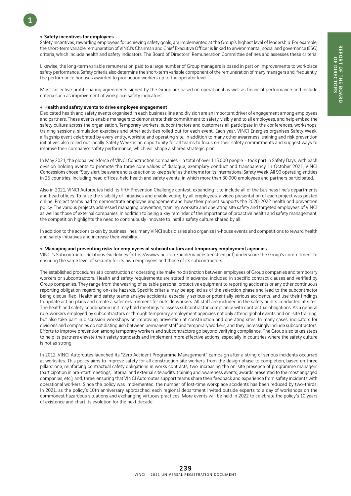#### ● Safety incentives for employees

1

Safety incentives, rewarding employees for achieving safety goals, are implemented at the Group's highest level of leadership. For example, the short-term variable remuneration of VINCI's Chairman and Chief Executive Officer is linked to environmental, social and governance (ESG) criteria, which include health and safety indicators. The Board of Directors' Remuneration Committee defines and assesses these criteria.

Likewise, the long-term variable remuneration paid to a large number of Group managers is based in part on improvements to workplace safety performance. Safety criteria also determine the short-term variable component of the remuneration of many managers and, frequently, the performance bonuses awarded to production workers up to the operator level.

Most collective profit-sharing agreements signed by the Group are based on operational as well as financial performance and include criteria such as improvement of workplace safety indicators.

#### ■ Health and safety events to drive employee engagement

Dedicated health and safety events organised in each business line and division are an important driver of engagement among employees and partners. These events enable managers to demonstrate their commitment to safety, visibly and to all employees, and help embed the safety culture across the organisation. Temporary workers, subcontractors and customers all participate in the conferences, workshops, training sessions, simulation exercises and other activities rolled out for each event. Each year, VINCI Energies organises Safety Week, a flagship event celebrated by every entity, worksite and operating site, in addition to many other awareness, training and risk prevention initiatives also rolled out locally. Safety Week is an opportunity for all teams to focus on their safety commitments and suggest ways to improve their company's safety performance, which will shape a shared strategic plan.

In May 2021, the global workforce of VINCI Construction companies – a total of over 115,000 people – took part in Safety Days, with each division holding events to promote the three core values of dialogue, exemplary conduct and transparency. In October 2021, VINCI Concessions chose "Stay alert, be aware and take action to keep safe" as the theme for its International Safety Week. All 90 operating entities in 25 countries, including head offices, held health and safety events, in which more than 30,000 employees and partners participated.

Also in 2021, VINCI Autoroutes held its fifth Prevention Challenge contest, expanding it to include all of the business line's departments and head offices. To raise the visibility of initiatives and enable voting by all employees, a video presentation of each project was posted online. Project teams had to demonstrate employee engagement and how their project supports the 2020-2022 health and prevention policy. The various projects addressed managing prevention, training, worksite and operating site safety and targeted employees of VINCI as well as those of external companies. In addition to being a key reminder of the importance of proactive health and safety management, the competition highlights the need to continuously innovate to instil a safety culture shared by all.

In addition to the actions taken by business lines, many VINCI subsidiaries also organise in-house events and competitions to reward health and safety initiatives and increase their visibility.

### • Managing and preventing risks for employees of subcontractors and temporary employment agencies

VINCI's Subcontractor Relations Guidelines (https://www.vinci.com/publi/manifeste/cst-en.pdf) underscore the Group's commitment to ensuring the same level of security for its own employees and those of its subcontractors.

The established procedures at a construction or operating site make no distinction between employees of Group companies and temporary workers or subcontractors. Health and safety requirements are stated in advance, included in specific contract clauses and verified by Group companies. They range from the wearing of suitable personal protective equipment to reporting accidents or any other continuous reporting obligation regarding on-site hazards. Specific criteria may be applied as of the selection phase and lead to the subcontractor being disqualified. Health and safety teams analyse accidents, especially serious or potentially serious accidents, and use their findings to update action plans and create a safer environment for outside workers. All staff are included in the safety audits conducted at sites. The health and safety coordination unit may hold meetings to assess subcontractor compliance with contractual obligations. As a general rule, workers employed by subcontractors or through temporary employment agencies not only attend global events and on-site training, but also take part in discussion workshops on improving prevention at construction and operating sites. In many cases, indicators for divisions and companies do not distinguish between permanent staff and temporary workers, and they increasingly include subcontractors. Efforts to improve prevention among temporary workers and subcontractors go beyond verifying compliance. The Group also takes steps to help its partners elevate their safety standards and implement more effective actions, especially in countries where the safety culture is not as strong.

In 2012, VINCI Autoroutes launched its "Zero Accident Programme Management" campaign after a string of serious incidents occurred at worksites. This policy aims to improve safety for all construction site workers, from the design phase to completion, based on three pillars: one, reinforcing contractual safety obligations in works contracts; two, increasing the on-site presence of programme managers (participation in pre-start meetings, internal and external site audits, training and awareness events, awards presented to the most engaged companies, etc.); and, three, ensuring that VINCI Autoroutes support teams share their feedback and experience from safety incidents with operational workers. Since the policy was implemented, the number of lost-time workplace accidents has been reduced by two-thirds. In 2021, as the policy's 10th anniversary approached, each regional department invited outside experts to a day of workshops on the commonest hazardous situations and exchanging virtuous practices. More events will be held in 2022 to celebrate the policy's 10 years of existence and chart its evolution for the next decade.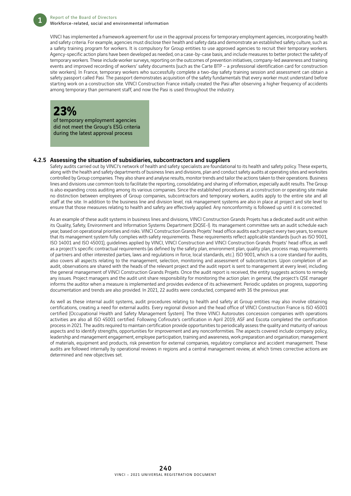VINCI has implemented a framework agreement for use in the approval process for temporary employment agencies, incorporating health and safety criteria. For example, agencies must disclose their health and safety data and demonstrate an established safety culture, such as a safety training program for workers. It is compulsory for Group entities to use approved agencies to recruit their temporary workers. Agency-specific action plans have been developed as needed, on a case-by-case basis, and include measures to better protect the safety of temporary workers. These include worker surveys, reporting on the outcomes of prevention initiatives, company-led awareness and training events and improved recording of workers' safety documents (such as the Carte BTP – a professional identification card for construction site workers). In France, temporary workers who successfully complete a two-day safety training session and assessment can obtain a safety passport called Pasi. The passport demonstrates acquisition of the safety fundamentals that every worker must understand before starting work on a construction site. VINCI Construction France initially created the Pasi after observing a higher frequency of accidents among temporary than permanent staff, and now the Pasi is used throughout the industry.

## **23%**

of temporary employment agencies did not meet the Group's ESG criteria during the latest approval process

#### 4.2.5 Assessing the situation of subsidiaries, subcontractors and suppliers

Safety audits carried out by VINCI's network of health and safety specialists are foundational to its health and safety policy. These experts, along with the health and safety departments of business lines and divisions, plan and conduct safety audits at operating sites and worksites controlled by Group companies. They also share and analyse results, monitor trends and tailor the actions taken to their operations. Business lines and divisions use common tools to facilitate the reporting, consolidating and sharing of information, especially audit results. The Group is also expanding cross auditing among its various companies. Since the established procedures at a construction or operating site make no distinction between employees of Group companies, subcontractors and temporary workers, audits apply to the entire site and all staff at the site. In addition to the business line and division level, risk management systems are also in place at project and site level to ensure that those measures relating to health and safety are effectively applied. Any nonconformity is followed up until it is corrected.

As an example of these audit systems in business lines and divisions, VINCI Construction Grands Projets has a dedicated audit unit within its Quality, Safety, Environment and Information Systems Department (DQSE-I). Its management committee sets an audit schedule each year, based on operational priorities and risks. VINCI Construction Grands Projets' head office audits each project every two years, to ensure that its management system fully complies with safety requirements. These requirements reflect applicable standards (such as ISO 9001, ISO 14001 and ISO 45001), guidelines applied by VINCI, VINCI Construction and VINCI Construction Grands Projets' head office, as well as a project's specific contractual requirements (as defined by the safety plan, environment plan, quality plan, process map, requirements of partners and other interested parties, laws and regulations in force, local standards, etc.). ISO 9001, which is a core standard for audits, also covers all aspects relating to the management, selection, monitoring and assessment of subcontractors. Upon completion of an audit, observations are shared with the heads of the relevant project and the audit report is sent to management at every level, including the general management of VINCI Construction Grands Projets. Once the audit report is received, the entity suggests actions to remedy any issues. Project managers and the audit unit share responsibility for monitoring the action plan: in general, the project's QSE manager informs the auditor when a measure is implemented and provides evidence of its achievement. Periodic updates on progress, supporting documentation and trends are also provided. In 2021, 22 audits were conducted, compared with 16 the previous year.

As well as these internal audit systems, audit procedures relating to health and safety at Group entities may also involve obtaining certifications, creating a need for external audits. Every regional division and the head office of VINCI Construction France is ISO 45001 certified (Occupational Health and Safety Management System). The three VINCI Autoroutes concession companies with operations activities are also all ISO 45001 certified. Following Cofiroute's certification in April 2019, ASF and Escota completed the certification process in 2021. The audits required to maintain certification provide opportunities to periodically assess the quality and maturity of various aspects and to identify strengths, opportunities for improvement and any nonconformities. The aspects covered include company policy, leadership and management engagement, employee participation, training and awareness, work preparation and organisation; management of materials, equipment and products, risk prevention for external companies, regulatory compliance and accident management. These audits are followed internally by operational reviews in regions and a central management review, at which times corrective actions are determined and new objectives set.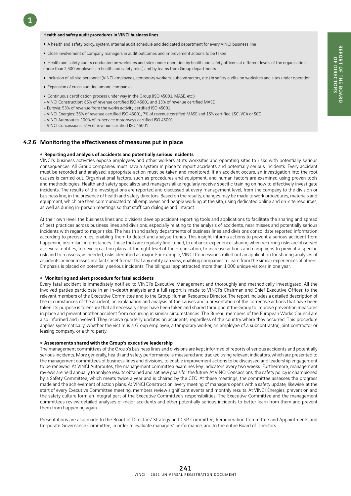#### Health and safety audit procedures in VINCI business lines

- A health and safety policy, system, internal audit schedule and dedicated department for every VINCI business line
- Close involvement of company managers in audit outcomes and improvement actions to be taken

• Health and safety audits conducted on worksites and sites under operation by health and safety officers at different levels of the organisation (more than 2,500 employees in health and safety roles) and by teams from Group departments

- Inclusion of all site personnel (VINCI employees, temporary workers, subcontractors, etc.) in safety audits on worksites and sites under operation
- Expansion of cross auditing among companies

1

- Continuous certification process under way in the Group (ISO 45001, MASE, etc.)
- VINCI Construction: 85% of revenue certified ISO 45001 and 13% of revenue certified MASE
- Eurovia: 53% of revenue from the works activity certified ISO 45001
- VINCI Energies: 36% of revenue certified ISO 45001, 7% of revenue certified MASE and 15% certified LSC, VCA or SCC
- VINCI Autoroutes: 100% of in-service motorways certified ISO 45001
- VINCI Concessions: 51% of revenue certified ISO 45001

#### 4.2.6 Monitoring the effectiveness of measures put in place

#### • Reporting and analysis of accidents and potentially serious incidents

VINCI's business activities expose employees and other workers at its worksites and operating sites to risks with potentially serious consequences. All Group companies must have a system in place to report accidents and potentially serious incidents. Every accident must be recorded and analysed; appropriate action must be taken and monitored. If an accident occurs, an investigation into the root causes is carried out. Organisational factors, such as procedures and equipment, and human factors are examined using proven tools and methodologies. Health and safety specialists and managers alike regularly receive specific training on how to effectively investigate incidents. The results of the investigations are reported and discussed at every management level, from the company to the division or business line, in the presence of health and safety directors. Based on the results, changes may be made to work procedures, materials and equipment, which are then communicated to all employees and people working at the site, using dedicated online and on-site resources, as well as during in-person meetings so that staff can dialogue and interact.

At their own level, the business lines and divisions develop accident reporting tools and applications to facilitate the sharing and spread of best practices across business lines and divisions, especially relating to the analysis of accidents, near misses and potentially serious incidents with regard to major risks. The health and safety departments of business lines and divisions consolidate reported information according to precise rules, enabling them to detect and analyse trends. This insight informs actions to prevent a serious accident from happening in similar circumstances. These tools are regularly fine-tuned, to enhance experience-sharing when recurring risks are observed at several entities, to develop action plans at the right level of the organisation, to increase actions and campaigns to prevent a specific risk and to reassess, as needed, risks identified as major. For example, VINCI Concessions rolled out an application for sharing analyses of accidents or near misses in a fact sheet format that any entity can view, enabling companies to learn from the similar experiences of others. Emphasis is placed on potentially serious incidents. The bilingual app attracted more than 1,000 unique visitors in one year.

#### $\bullet$  Monitoring and alert procedure for fatal accidents

Every fatal accident is immediately notified to VINCI's Executive Management and thoroughly and methodically investigated. All the involved parties participate in an in-depth analysis and a full report is made to VINCI's Chairman and Chief Executive Officer, to the relevant members of the Executive Committee and to the Group Human Resources Director. The report includes a detailed description of the circumstances of the accident, an explanation and analysis of the causes and a presentation of the corrective actions that have been taken. Its purpose is to ensure that all necessary steps have been taken and shared throughout the Group to improve prevention measures in place and prevent another accident from occurring in similar circumstances. The Bureau members of the European Works Council are also informed and involved. They receive quarterly updates on accidents, regardless of the country where they occurred. This procedure applies systematically, whether the victim is a Group employee, a temporary worker, an employee of a subcontractor, joint contractor or leasing company, or a third party.

#### • Assessments shared with the Group's executive leadership

The management committees of the Group's business lines and divisions are kept informed of reports of serious accidents and potentially serious incidents. More generally, health and safety performance is measured and tracked using relevant indicators, which are presented to the management committees of business lines and divisions, to enable improvement actions to be discussed and leadership engagement to be renewed. At VINCI Autoroutes, the management committee examines key indicators every two weeks. Furthermore, management reviews are held annually to analyse results obtained and set new goals for the future. At VINCI Concessions, the safety policy is championed by a Safety Committee, which meets twice a year and is chaired by the CEO. At these meetings, the committee assesses the progress made and the achievement of action plans. At VINCI Construction, every meeting of managers opens with a safety update; likewise, at the start of every Executive Committee meeting, members review significant events and monthly results. At VINCI Energies, prevention and the safety culture form an integral part of the Executive Committee's responsibilities. The Executive Committee and the management committees review detailed analyses of major accidents and other potentially serious incidents to better learn from them and prevent them from happening again.

Presentations are also made to the Board of Directors' Strategy and CSR Committee, Remuneration Committee and Appointments and Corporate Governance Committee, in order to evaluate managers' performance, and to the entire Board of Directors.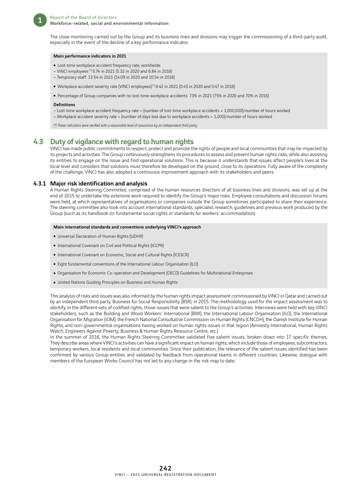

The close monitoring carried out by the Group and its business lines and divisions may trigger the commissioning of a third-party audit, especially in the event of the decline of a key performance indicator.

#### Main performance indicators in 2021

- Lost-time workplace accident frequency rate, worldwide:
- VINCI employees (\*):5.74 in 2021 (5.32 in 2020 and 6.84 in 2016)
- Temporary staff: 13.54 in 2021 (14.09 in 2020 and 10.54 in 2016)
- Workplace accident severity rate (VINCI employees)<sup>(+)</sup>:0.42 in 2021 (0.43 in 2020 and 0.47 in 2016)
- Percentage of Group companies with no lost-time workplace accidents: 73% in 2021 (75% in 2020 and 70% in 2016)

#### **Definitions**

- Lost-time workplace accident frequency rate = (number of lost-time workplace accidents × 1,000,000)/number of hours worked
- Workplace accident severity rate = (number of days lost due to workplace accidents × 1,000)/number of hours worked

*(\*) These indicators were verified with a reasonable level of assurance by an independent third party.*

### 4.3 Duty of vigilance with regard to human rights

VINCI has made public commitments to respect, protect and promote the rights of people and local communities that may be impacted by its projects and activities. The Group continuously strengthens its procedures to assess and prevent human rights risks, while also assisting its entities to engage on the issue and find operational solutions. This is because it understands that issues affect people's lives at the local level and considers that solutions must therefore be developed on the ground, close to its operations. Fully aware of the complexity of the challenge, VINCI has also adopted a continuous improvement approach with its stakeholders and peers.

#### 4.3.1 Major risk identification and analysis

A Human Rights Steering Committee, comprised of the human resources directors of all business lines and divisions, was set up at the end of 2015 to undertake the extensive work required to identify the Group's major risks. Employee consultations and discussion forums were held, at which representatives of organisations or companies outside the Group sometimes participated to share their experience. The steering committee also took into account international standards, specialist research, guidelines and previous work produced by the Group (such as its handbook on fundamental social rights or standards for workers' accommodation).

#### Main international standards and conventions underlying VINCI's approach

- Universal Declaration of Human Rights (UDHR)
- International Covenant on Civil and Political Rights (ICCPR)
- International Covenant on Economic, Social and Cultural Rights (ICESCR)
- Eight fundamental conventions of the International Labour Organisation (ILO)
- Organisation for Economic Co-operation and Development (OECD) Guidelines for Multinational Enterprises
- United Nations Guiding Principles on Business and Human Rights

This analysis of risks and issues was also informed by the human rights impact assessment commissioned by VINCI in Qatar and carried out by an independent third party, Business for Social Responsibility (BSR), in 2015. The methodology used for the impact assessment was to identify, in the different sets of codified rights, those issues that were salient to the Group's activities. Interviews were held with key VINCI stakeholders, such as the Building and Wood Workers' International (BWI), the International Labour Organisation (ILO), the International Organisation for Migration (IOM), the French National Consultative Commission on Human Rights (CNCDH), the Danish Institute for Human Rights, and non-governmental organisations having worked on human rights issues in that region (Amnesty International, Human Rights Watch, Engineers Against Poverty, Business & Human Rights Resource Centre, etc.).

In the summer of 2016, the Human Rights Steering Committee validated five salient issues, broken down into 17 specific themes. They describe areas where VINCI's activities can have a significant impact on human rights, which include those of employees, subcontractors, temporary workers, local residents and local communities. Since their publication, the relevance of the salient issues identified has been confirmed by various Group entities and validated by feedback from operational teams in different countries. Likewise, dialogue with members of the European Works Council has not led to any change in the risk map to date.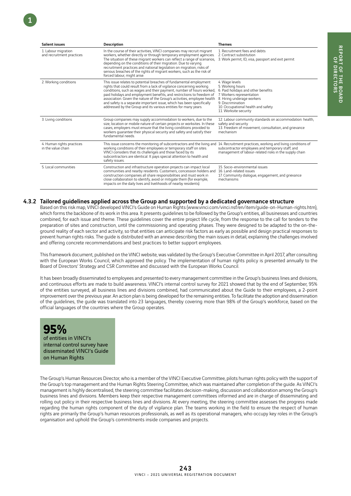| <b>Salient issues</b>                            | <b>Description</b>                                                                                                                                                                                                                                                                                                                                                                                                                                                                                                  | <b>Themes</b>                                                                                                                                                                                                            |
|--------------------------------------------------|---------------------------------------------------------------------------------------------------------------------------------------------------------------------------------------------------------------------------------------------------------------------------------------------------------------------------------------------------------------------------------------------------------------------------------------------------------------------------------------------------------------------|--------------------------------------------------------------------------------------------------------------------------------------------------------------------------------------------------------------------------|
| 1. Labour migration<br>and recruitment practices | In the course of their activities, VINCI companies may recruit migrant<br>workers, whether directly or through temporary employment agencies.<br>The situation of these migrant workers can reflect a range of scenarios,<br>depending on the conditions of their migration. Due to varying<br>recruitment practices and national legislation on migration, risks of<br>serious breaches of the rights of migrant workers, such as the risk of<br>forced labour, might arise.                                       | 1. Recruitment fees and debts<br>2. Contract substitution<br>3. Work permit, ID, visa, passport and exit permit                                                                                                          |
| 2. Working conditions                            | This issue relates to potential breaches of fundamental employment<br>rights that could result from a lack of vigilance concerning working<br>conditions, such as wages and their payment, number of hours worked,<br>paid holidays and employment benefits, and restrictions to freedom of<br>association. Given the nature of the Group's activities, employee health<br>and safety is a separate important issue, which has been specifically<br>addressed by the Group and its various entities for many years. | 4. Wage levels<br>5. Working hours<br>6. Paid holidays and other benefits<br>7. Workers representation<br>8. Hiring underage workers<br>9. Discrimination<br>10. Occupational health and safety<br>11. Worksite security |
| 3. Living conditions                             | Group companies may supply accommodation to workers, due to the<br>size, location or mobile nature of certain projects or worksites. In these<br>cases, employers must ensure that the living conditions provided to<br>workers quarantee their physical security and safety and satisfy their<br>fundamental needs.                                                                                                                                                                                                | 12. Labour community standards on accommodation: health,<br>safety and security<br>13. Freedom of movement, consultation, and grievance<br>mechanism                                                                     |
| 4. Human rights practices<br>in the value chain  | This issue concerns the monitoring of subcontractors and the living and<br>working conditions of their employees or temporary staff on sites.<br>VINCI considers that its challenges and those faced by its<br>subcontractors are identical. It pays special attention to health and<br>safety issues.                                                                                                                                                                                                              | 14. Recruitment practices, working and living conditions of<br>subcontractor employees and temporary staff, and<br>management of labour-related risks in the supply chain                                                |
| 5. Local communities                             | Construction and infrastructure operation projects can impact local<br>communities and nearby residents. Customers, concession holders and<br>construction companies all share responsibilities and must work in<br>close collaboration to identify, avoid or mitigate them (for example,<br>impacts on the daily lives and livelihoods of nearby residents).                                                                                                                                                       | 15. Socio-environmental issues<br>16. Land-related issues<br>17. Community dialogue, engagement, and grievance<br>mechanisms                                                                                             |

#### 4.3.2 Tailored guidelines applied across the Group and supported by a dedicated governance structure

Based on this risk map, VINCI developed VINCI's Guide on Human Rights (www.vinci.com/vinci.nsf/en/item/guide-on-Human-rights.htm), which forms the backbone of its work in this area. It presents guidelines to be followed by the Group's entities, all businesses and countries combined, for each issue and theme. These guidelines cover the entire project life cycle, from the response to the call for tenders to the preparation of sites and construction, until the commissioning and operating phases. They were designed to be adapted to the on-theground reality of each sector and activity, so that entities can anticipate risk factors as early as possible and design practical responses to prevent human rights risks. The guide is distributed with an annexe describing the main issues in detail, explaining the challenges involved and offering concrete recommendations and best practices to better support employees.

This framework document, published on the VINCI website, was validated by the Group's Executive Committee in April 2017, after consulting with the European Works Council, which approved the policy. The implementation of human rights policy is presented annually to the Board of Directors' Strategy and CSR Committee and discussed with the European Works Council.

It has been broadly disseminated to employees and presented to every management committee in the Group's business lines and divisions, and continuous efforts are made to build awareness. VINCI's internal control survey for 2021 showed that by the end of September, 95% of the entities surveyed, all business lines and divisions combined, had communicated about the Guide to their employees, a 2-point improvement over the previous year. An action plan is being developed for the remaining entities. To facilitate the adoption and dissemination of the guidelines, the guide was translated into 23 languages, thereby covering more than 98% of the Group's workforce, based on the official languages of the countries where the Group operates.

**95%** of entities in VINCI's internal control survey have disseminated VINCI's Guide on Human Rights

The Group's Human Resources Director, who is a member of the VINCI Executive Committee, pilots human rights policy with the support of the Group's top management and the Human Rights Steering Committee, which was maintained after completion of the guide. As VINCI's management is highly decentralised, the steering committee facilitates decision-making, discussion and collaboration among the Group's business lines and divisions. Members keep their respective management committees informed and are in charge of disseminating and rolling out policy in their respective business lines and divisions. At every meeting, the steering committee assesses the progress made regarding the human rights component of the duty of vigilance plan. The teams working in the field to ensure the respect of human rights are primarily the Group's human resources professionals, as well as its operational managers, who occupy key roles in the Group's organisation and uphold the Group's commitments inside companies and projects.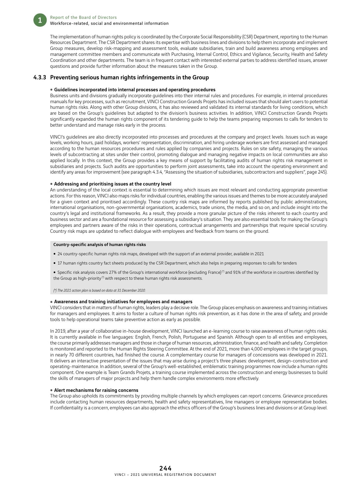The implementation of human rights policy is coordinated by the Corporate Social Responsibility (CSR) Department, reporting to the Human Resources Department. The CSR Department shares its expertise with business lines and divisions to help them incorporate and implement Group measures, develop risk-mapping and assessment tools, evaluate subsidiaries, train and build awareness among employees and management committee members and communicate with Purchasing, Internal Control, Ethics and Vigilance, Security, Health and Safety Coordination and other departments. The team is in frequent contact with interested external parties to address identified issues, answer questions and provide further information about the measures taken in the Group.

#### 4.3.3 Preventing serious human rights infringements in the Group

#### • Guidelines incorporated into internal processes and operating procedures

Business units and divisions gradually incorporate guidelines into their internal rules and procedures. For example, in internal procedures manuals for key processes, such as recruitment, VINCI Construction Grands Projets has included issues that should alert users to potential human rights risks. Along with other Group divisions, it has also reviewed and validated its internal standards for living conditions, which are based on the Group's guidelines but adapted to the division's business activities. In addition, VINCI Construction Grands Projets significantly expanded the human rights component of its tendering guide to help the teams preparing responses to calls for tenders to better understand and manage risks early in the process.

VINCI's guidelines are also directly incorporated into processes and procedures at the company and project levels. Issues such as wage levels, working hours, paid holidays, workers' representation, discrimination, and hiring underage workers are first assessed and managed according to the human resources procedures and rules applied by companies and projects. Rules on site safety, managing the various levels of subcontracting at sites under their control, promoting dialogue and managing negative impacts on local communities are also applied locally. In this context, the Group provides a key means of support by facilitating audits of human rights risk management in subsidiaries and projects. Such audits are opportunities to perform joint assessments, take into account the operating environment and identify any areas for improvement (see paragraph 4.3.4, "Assessing the situation of subsidiaries, subcontractors and suppliers", page 245).

#### • Addressing and prioritising issues at the country level

An understanding of the local context is essential to determining which issues are most relevant and conducting appropriate preventive actions. For this reason, VINCI also maps risks for individual countries, enabling the various issues and themes to be more accurately analysed for a given context and prioritised accordingly. These country risk maps are informed by reports published by public administrations, international organisations, non-governmental organisations, academics, trade unions, the media, and so on, and include insight into the country's legal and institutional frameworks. As a result, they provide a more granular picture of the risks inherent to each country and business sector and are a foundational resource for assessing a subsidiary's situation. They are also essential tools for making the Group's employees and partners aware of the risks in their operations, contractual arrangements and partnerships that require special scrutiny. Country risk maps are updated to reflect dialogue with employees and feedback from teams on the ground.

#### Country-specific analysis of human rights risks

- 24 country-specific human rights risk maps, developed with the support of an external provider, available in 2021
- 17 human rights country fact sheets produced by the CSR Department, which also helps in preparing responses to calls for tenders

• Specific risk analysis covers 27% of the Group's international workforce (excluding France)<sup>(\*)</sup> and 91% of the workforce in countries identified by the Group as high-priority<sup>(\*)</sup> with respect to these human rights risk assessments.

*(\*) The 2021 action plan is based on data at 31 December 2020.*

#### • Awareness and training initiatives for employees and managers

VINCI considers that in matters of human rights, leaders play a decisive role. The Group places emphasis on awareness and training initiatives for managers and employees. It aims to foster a culture of human rights risk prevention, as it has done in the area of safety, and provide tools to help operational teams take preventive action as early as possible.

In 2019, after a year of collaborative in-house development, VINCI launched an e-learning course to raise awareness of human rights risks. It is currently available in five languages: English, French, Polish, Portuguese and Spanish. Although open to all entities and employees, the course primarily addresses managers and those in charge of human resources, administration, finance, and health and safety. Completion is monitored and reported to the Human Rights Steering Committee. At the end of 2021, more than 4,000 employees in the target groups, in nearly 70 different countries, had finished the course. A complementary course for managers of concessions was developed in 2021. It delivers an interactive presentation of the issues that may arise during a project's three phases: development, design-construction and operating-maintenance. In addition, several of the Group's well-established, emblematic training programmes now include a human rights component. One example is Team Grands Projets, a training course implemented across the construction and energy businesses to build the skills of managers of major projects and help them handle complex environments more effectively.

#### • Alert mechanisms for raising concerns

The Group also upholds its commitments by providing multiple channels by which employees can report concerns. Grievance procedures include contacting human resources departments, health and safety representatives, line managers or employee representative bodies. If confidentiality is a concern, employees can also approach the ethics officers of the Group's business lines and divisions or at Group level.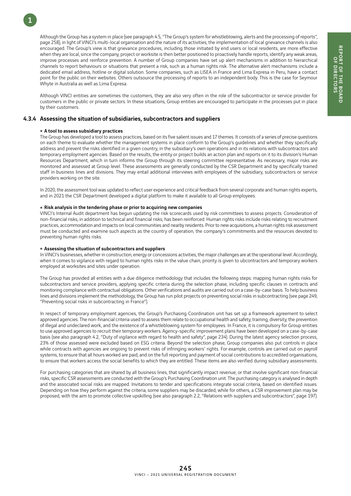Although the Group has a system in place (see paragraph 4.5, "The Group's system for whistleblowing, alerts and the processing of reports", page 258), in light of VINCI's multi-local organisation and the nature of its activities, the implementation of local grievance channels is also encouraged. The Group's view is that grievance procedures, including those initiated by end users or local residents, are more effective when they are local, since the company, project or worksite is then better positioned to proactively handle reports, identify any weak areas, improve processes and reinforce prevention. A number of Group companies have set up alert mechanisms in addition to hierarchical channels to report behaviours or situations that present a risk, such as a human rights risk. The alternative alert mechanisms include a dedicated email address, hotline or digital solution. Some companies, such as LISEA in France and Lima Expresa in Peru, have a contact point for the public on their websites. Others outsource the processing of reports to an independent body. This is the case for Seymour Whyte in Australia as well as Lima Expresa.

Although VINCI entities are sometimes the customers, they are also very often in the role of the subcontractor or service provider for customers in the public or private sectors. In these situations, Group entities are encouraged to participate in the processes put in place by their customers.

#### 4.3.4 Assessing the situation of subsidiaries, subcontractors and suppliers

#### • A tool to assess subsidiary practices

1

The Group has developed a tool to assess practices, based on its five salient issues and 17 themes. It consists of a series of precise questions on each theme to evaluate whether the management systems in place conform to the Group's guidelines and whether they specifically address and prevent the risks identified in a given country, in the subsidiary's own operations and in its relations with subcontractors and temporary employment agencies. Based on the results, the entity or project builds an action plan and reports on it to its division's Human Resources Department, which in turn informs the Group through its steering committee representative. As necessary, major risks are monitored and assessed at Group level. These assessments are generally conducted by the CSR Department and by specifically trained staff in business lines and divisions. They may entail additional interviews with employees of the subsidiary, subcontractors or service providers working on the site.

In 2020, the assessment tool was updated to reflect user experience and critical feedback from several corporate and human rights experts, and in 2021 the CSR Department developed a digital platform to make it available to all Group employees.

#### • Risk analysis in the tendering phase or prior to acquiring new companies

VINCI's Internal Audit department has begun updating the risk scorecards used by risk committees to assess projects. Consideration of non-financial risks, in addition to technical and financial risks, has been reinforced. Human rights risks include risks relating to recruitment practices, accommodation and impacts on local communities and nearby residents. Prior to new acquisitions, a human rights risk assessment must be conducted and examine such aspects as the country of operation, the company's commitments and the resources devoted to preventing human rights risks.

#### • Assessing the situation of subcontractors and suppliers

In VINCI's businesses, whether in construction, energy or concessions activities, the major challenges are at the operational level. Accordingly, when it comes to vigilance with regard to human rights risks in the value chain, priority is given to ubcontractors and temporary workers employed at worksites and sites under operation.

The Group has provided all entities with a due diligence methodology that includes the following steps: mapping human rights risks for subcontractors and service providers, applying specific criteria during the selection phase, including specific clauses in contracts and monitoring compliance with contractual obligations. Other verifications and audits are carried out on a case-by-case basis. To help business lines and divisions implement the methodology, the Group has run pilot projects on preventing social risks in subcontracting (see page 249, "Preventing social risks in subcontracting in France").

In respect of temporary employment agencies, the Group's Purchasing Coordination unit has set up a framework agreement to select approved agencies. The non-financial criteria used to assess them relate to occupational health and safety, training, diversity, the prevention of illegal and undeclared work, and the existence of a whistleblowing system for employees. In France, it is compulsory for Group entities to use approved agencies to recruit their temporary workers. Agency-specific improvement plans have been developed on a case-by-case basis (see also paragraph 4.2, "Duty of vigilance with regard to health and safety", page 234). During the latest agency selection process, 23% of those assessed were excluded based on ESG criteria. Beyond the selection phase, Group companies also put controls in place while contracts with agencies are ongoing to prevent risks of infringing workers' rights. For example, controls are carried out on payroll systems, to ensure that all hours worked are paid, and on the full reporting and payment of social contributions to accredited organisations, to ensure that workers access the social benefits to which they are entitled. These items are also verified during subsidiary assessments.

For purchasing categories that are shared by all business lines, that significantly impact revenue, or that involve significant non-financial risks, specific CSR assessments are conducted with the Group's Purchasing Coordination unit. The purchasing category is analysed in depth and the associated social risks are mapped. Invitations to tender and specifications integrate social criteria, based on identified issues. Depending on how they perform against the criteria, some suppliers may be discarded, while for others, a CSR improvement plan may be proposed, with the aim to promote collective upskilling (see also paragraph 2.2, "Relations with suppliers and subcontractors", page 197).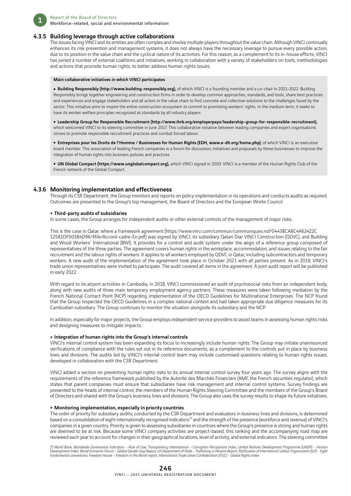

#### 4.3.5 Building leverage through active collaborations

The issues facing VINCI and its entities are often complex and involve multiple players throughout the value chain. Although VINCI continually enhances its risk prevention and management systems, it does not always have the necessary leverage to pursue every possible action, due to its position in the value chain and the cyclical nature of its activities. For this reason, as a complement to its in-house efforts, VINCI has joined a number of external coalitions and initiatives, working in collaboration with a variety of stakeholders on tools, methodologies and actions that promote human rights, to better address human rights issues.

#### Main collaborative initiatives in which VINCI participates

. Building Responsibly (http://www.building-responsibly.org), of which VINCI is a founding member and a co-chair in 2021-2022. Building Responsibly brings together engineering and construction firms in order to develop common approaches, standards, and tools, share best practices and experiences and engage stakeholders and all actors in the value chain to find concrete and collective solutions to the challenges faced by the sector. This initiative aims to inspire the entire construction ecosystem to commit to promoting workers' rights. In the medium term, it seeks to have its worker welfare principles recognized as standards by all industry players.

ˇ Leadership Group for Responsible Recruitment (http://www.ihrb.org/employerpays/leadership-group-for-responsible-recruitment), which welcomed VINCI to its steering committee in June 2017. This collaborative initiative between leading companies and expert organisations strives to promote responsible recruitment practices and combat forced labour.

ˇ Entreprises pour les Droits de l'Homme / Businesses for Human Rights (EDH, www.e-dh.org/home.php), of which VINCI is an executive board member. This association of leading French companies is a forum for discussion, initiatives and proposals by these businesses to improve the integration of human rights into business policies and practices.

. UN Global Compact (https://www.unglobalcompact.org), which VINCI signed in 2003. VINCI is a member of the Human Rights Club of the French network of the Global Compact.

#### 4.3.6 Monitoring implementation and effectiveness

Through its CSR Department, the Group monitors and reports on policy implementation in its operations and conducts audits as required. Outcomes are presented to the Group's top management, the Board of Directors and the European Works Council.

#### **• Third-party audits of subsidiaries**

In some cases, the Group arranges for independent audits or other external controls of the management of major risks.

This is the case in Qatar, where a framework agreement (https://www.vinci.com/commun/communiques.nsf/04438CA8C4A62422C 12581DF00384D96/\$file/Accord-cadre-En.pdf) was signed by VINCI, its subsidiary Qatari Diar VINCI Construction (QDVC), and Building and Wood Workers' International (BWI). It provides for a control and audit system under the aegis of a reference group composed of representatives of the three parties. The agreement covers human rights in the workplace, accommodation, and issues relating to the fair recruitment and the labour rights of workers. It applies to all workers employed by QDVC in Qatar, including subcontractors and temporary workers. A new audit of the implementation of the agreement took place in October 2021 with all parties present. As in 2019, VINCI's trade union representatives were invited to participate. The audit covered all items in the agreement. A joint audit report will be published in early 2022.

With regard to its airport activities in Cambodia, in 2018, VINCI commissioned an audit of psychosocial risks from an independent body, along with new audits of three main temporary employment agency partners. These measures were taken following mediation by the French National Contact Point (NCP) regarding implementation of the OECD Guidelines for Multinational Enterprises. The NCP found that the Group respected the OECD Guidelines in a complex national context and had taken appropriate due diligence measures for its Cambodian subsidiary. The Group continues to monitor the situation alongside its subsidiary and the NCP.

In addition, especially for major projects, the Group employs independent service providers to assist teams in assessing human rights risks and designing measures to mitigate impacts.

#### $\bullet$  Integration of human rights into the Group's internal controls

VINCI's internal control system has been expanding its focus to increasingly include human rights. The Group may initiate unannounced verifications of compliance with the rules set out in its reference documents, as a complement to the controls put in place by business lines and divisions. The audits led by VINCI's internal control team may include customised questions relating to human rights issues, developed in collaboration with the CSR Department.

VINCI added a section on preventing human rights risks to its annual internal control survey four years ago. The survey aligns with the requirements of the reference framework published by the Autorité des Marchés Financiers (AMF, the French securities regulator), which states that parent companies must ensure that subsidiaries have risk management and internal control systems. Survey findings are presented to the heads of internal control, the members of the Human Rights Steering Committee and the members of the Group's Board of Directors and shared with the Group's business lines and divisions. The Group also uses the survey results to shape its future initiatives.

#### • Monitoring implementation, especially in priority countries

The order of priority for subsidiary audits, conducted by the CSR Department and evaluators in business lines and divisions, is determined based on a consolidation of eight internationally recognised indicators<sup>(\*)</sup> and the strength of the presence (workforce and revenue) of VINCI's companies in a given country. Priority is given to assessing subsidiaries in countries where the Group's presence is strong and human rights are deemed to be at risk. Because some VINCI company activities are project-based, this ranking and the accompanying road map are reviewed each year to account for changes in their geographical locations, level of activity, and external indicators. The steering committee

*(\*) World Bank, Worldwide Governance Indicators – Rule of Law; Transparency International – Corruption Perceptions Index; United Nations Development Programme (UNDP) – Human*  Development Index; World Economic Forum – Global Gender Gap Report; US Department of State – Trafficking in Persons Report; Ratification of International Labour Organisation (ILO) – Eight<br>fundamental conventions; Freedom H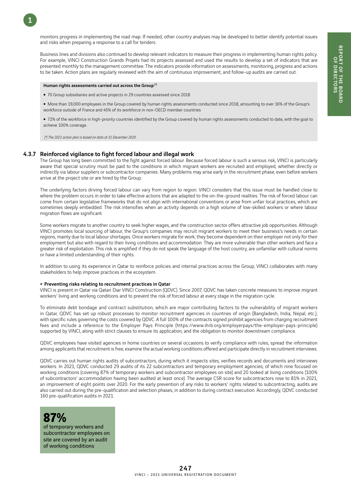monitors progress in implementing the road map. If needed, other country analyses may be developed to better identify potential issues and risks when preparing a response to a call for tenders.

Business lines and divisions also continued to develop relevant indicators to measure their progress in implementing human rights policy. For example, VINCI Construction Grands Projets had its projects assessed and used the results to develop a set of indicators that are presented monthly to the management committee. The indicators provide information on assessments, monitoring, progress and actions to be taken. Action plans are regularly reviewed with the aim of continuous improvement, and follow-up audits are carried out.

#### Human rights assessments carried out across the Group (\*)

1

- 70 Group subsidiaries and active projects in 29 countries assessed since 2018
- More than 19,000 employees in the Group covered by human rights assessments conducted since 2018, amounting to over 16% of the Group's workforce outside of France and 45% of its workforce in non-OECD member countries
- . 72% of the workforce in high-priority countries identified by the Group covered by human rights assessments conducted to date, with the goal to achieve 100% coverage.

 *(\*) The 2021 action plan is based on data at 31 December 2020.*

#### 4.3.7 Reinforced vigilance to fight forced labour and illegal work

The Group has long been committed to the fight against forced labour. Because forced labour is such a serious risk, VINCI is particularly aware that special scrutiny must be paid to the conditions in which migrant workers are recruited and employed, whether directly or indirectly via labour suppliers or subcontractor companies. Many problems may arise early in the recruitment phase, even before workers arrive at the project site or are hired by the Group.

The underlying factors driving forced labour can vary from region to region. VINCI considers that this issue must be handled close to where the problem occurs in order to take effective actions that are adapted to the on-the-ground realities. The risk of forced labour can come from certain legislative frameworks that do not align with international conventions or arise from unfair local practices, which are sometimes deeply embedded. The risk intensifies when an activity depends on a high volume of low-skilled workers or where labour migration flows are significant.

Some workers migrate to another country to seek higher wages, and the construction sector offers attractive job opportunities. Although VINCI promotes local sourcing of labour, the Group's companies may recruit migrant workers to meet their business's needs in certain regions, mainly due to local labour shortages. Once workers migrate for work, they become dependent on their employer not only for their employment but also with regard to their living conditions and accommodation. They are more vulnerable than other workers and face a greater risk of exploitation. This risk is amplified if they do not speak the language of the host country, are unfamiliar with cultural norms or have a limited understanding of their rights.

In addition to using its experience in Qatar to reinforce policies and internal practices across the Group, VINCI collaborates with many stakeholders to help improve practices in the ecosystem.

#### • Preventing risks relating to recruitment practices in Qatar

VINCI is present in Qatar via Qatari Diar VINCI Construction (QDVC). Since 2007, QDVC has taken concrete measures to improve migrant workers' living and working conditions and to prevent the risk of forced labour at every stage in the migration cycle.

To eliminate debt bondage and contract substitution, which are major contributing factors to the vulnerability of migrant workers in Qatar, QDVC has set up robust processes to monitor recruitment agencies in countries of origin (Bangladesh, India, Nepal, etc.), with specific rules governing the costs covered by QDVC. A full 100% of the contracts signed prohibit agencies from charging recruitment fees and include a reference to the Employer Pays Principle (https://www.ihrb.org/employerpays/the-employer-pays-principle) supported by VINCI, along with strict clauses to ensure its application, and the obligation to monitor downstream compliance.

QDVC employees have visited agencies in home countries on several occasions to verify compliance with rules, spread the information among applicants that recruitment is free, examine the actual working conditions offered and participate directly in recruitment interviews.

QDVC carries out human rights audits of subcontractors, during which it inspects sites, verifies records and documents and interviews workers. In 2021, QDVC conducted 29 audits of its 22 subcontractors and temporary employment agencies, of which nine focused on working conditions (covering 87% of temporary workers and subcontractor employees on site) and 20 looked at living conditions (100% of subcontractors' accommodation having been audited at least once). The average CSR score for subcontractors rose to 81% in 2021, an improvement of eight points over 2020. For the early prevention of any risks to workers' rights related to subcontracting, audits are also carried out during the pre-qualification and selection phases, in addition to during contract execution. Accordingly, QDVC conducted 160 pre-qualification audits in 2021.



of temporary workers and subcontractor employees on site are covered by an audit of working conditions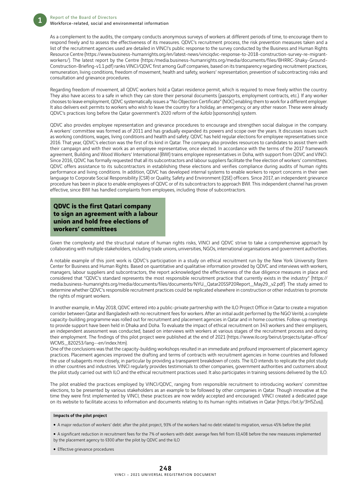As a complement to the audits, the company conducts anonymous surveys of workers at different periods of time, to encourage them to respond freely and to assess the effectiveness of its measures. QDVC's recruitment process, the risk prevention measures taken and a list of the recruitment agencies used are detailed in VINCI's public response to the survey conducted by the Business and Human Rights Resource Centre (https://www.business-humanrights.org/en/latest-news/vinciqdvc-response-to-2018-construction-survey-re-migrantworkers/). The latest report by the Centre (https:/media.business-humanrights.org/media/documents/files/BHRRC-Shaky-Ground-Construction-Briefing-v1.1.pdf) ranks VINCI/QDVC first among Gulf companies, based on its transparency regarding recruitment practices, remuneration, living conditions, freedom of movement, health and safety, workers' representation, prevention of subcontracting risks and consultation and grievance procedures.

Regarding freedom of movement, all QDVC workers hold a Qatari residence permit, which is required to move freely within the country. They also have access to a safe in which they can store their personal documents (passports, employment contracts, etc.). If any worker chooses to leave employment, QDVC systematically issues a "No Objection Certificate" (NOC) enabling them to work for a different employer. It also delivers exit permits to workers who wish to leave the country for a holiday, an emergency, or any other reason. These were already QDVC's practices long before the Qatar government's 2020 reform of the *kafala* (sponsorship) system.

QDVC also provides employee representation and grievance procedures to encourage and strengthen social dialogue in the company. A workers' committee was formed as of 2011 and has gradually expanded its powers and scope over the years. It discusses issues such as working conditions, wages, living conditions and health and safety. QDVC has held regular elections for employee representatives since 2016. That year, QDVC's election was the first of its kind in Qatar. The company also provides resources to candidates to assist them with their campaign and with their work as an employee representative, once elected. In accordance with the terms of the 2017 framework agreement, Building and Wood Workers' International (BWI) trains employee representatives in Doha, with support from QDVC and VINCI. Since 2016, QDVC has formally requested that all its subcontractors and labour suppliers facilitate the free election of workers' committees. QDVC offers assistance to its subcontractors in establishing these elections and verifies compliance during audits of human rights performance and living conditions. In addition, QDVC has developed internal systems to enable workers to report concerns in their own language to Corporate Social Responsibility (CSR) or Quality, Safety and Environment (QSE) officers. Since 2017, an independent grievance procedure has been in place to enable employees of QDVC or of its subcontractors to approach BWI. This independent channel has proven effective, since BWI has handled complaints from employees, including those of subcontractors.

**QDVC is the first Qatari company to sign an agreement with a labour union and hold free elections of workers' committees**

Given the complexity and the structural nature of human rights risks, VINCI and QDVC strive to take a comprehensive approach by collaborating with multiple stakeholders, including trade unions, universities, NGOs, international organisations and government authorities.

A notable example of this joint work is QDVC's participation in a study on ethical recruitment run by the New York University Stern Center for Business and Human Rights. Based on quantitative and qualitative information provided by QDVC and interviews with workers, managers, labour suppliers and subcontractors, the report acknowledged the effectiveness of the due diligence measures in place and considered that "QDVC's standard represents the most responsible recruitment practice that currently exists in the industry" (https:// media.business-humanrights.org/media/documents/files/documents/NYU\_Qatar20SSP20Report\_May29\_v2.pdf). The study aimed to determine whether QDVC's responsible recruitment practices could be replicated elsewhere in construction or other industries to promote the rights of migrant workers.

In another example, in May 2018, QDVC entered into a public-private partnership with the ILO Project Office in Qatar to create a migration corridor between Qatar and Bangladesh with no recruitment fees for workers. After an initial audit performed by the NGO Verité, a complete capacity-building programme was rolled out for recruitment and placement agencies in Qatar and in home countries. Follow-up meetings to provide support have been held in Dhaka and Doha. To evaluate the impact of ethical recruitment on 343 workers and their employers, an independent assessment was conducted, based on interviews with workers at various stages of the recruitment process and during their employment. The findings of this pilot project were published at the end of 2021 (https://www.ilo.org/beirut/projects/qatar-office/ WCMS\_820253/lang--en/index.htm).

One of the conclusions was that the capacity-building workshops resulted in an immediate and profound improvement of placement agency practices. Placement agencies improved the drafting and terms of contracts with recruitment agencies in home countries and followed the use of subagents more closely, in particular by providing a transparent breakdown of costs. The ILO intends to replicate the pilot study in other countries and industries. VINCI regularly provides testimonials to other companies, government authorities and customers about the pilot study carried out with ILO and the ethical recruitment practices used. It also participates in training sessions delivered by the ILO.

The pilot enabled the practices employed by VINCI/QDVC, ranging from responsible recruitment to introducing workers' committee elections, to be presented by various stakeholders as an example to be followed by other companies in Qatar. Though innovative at the time they were first implemented by VINCI, these practices are now widely accepted and encouraged. VINCI created a dedicated page on its website to facilitate access to information and documents relating to its human rights initiatives in Qatar (https://bit.ly/3H5ZusJ).

#### Impacts of the pilot project

• A major reduction of workers' debt: after the pilot project, 93% of the workers had no debt related to migration, versus 45% before the pilot

• A significant reduction in recruitment fees for the 7% of workers with debt: average fees fell from \$3,408 before the new measures implemented by the placement agency to \$300 after the pilot by QDVC and the ILO

• Effective grievance procedures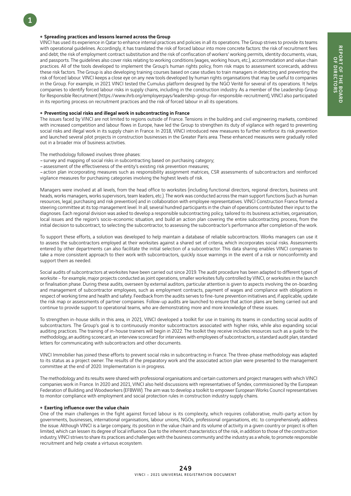#### • Spreading practices and lessons learned across the Group

VINCI has used its experience in Qatar to enhance internal practices and policies in all its operations. The Group strives to provide its teams with operational guidelines. Accordingly, it has translated the risk of forced labour into more concrete factors: the risk of recruitment fees and debt; the risk of employment contract substitution and the risk of confiscation of workers' working permits, identity documents, visas, and passports. The guidelines also cover risks relating to working conditions (wages, working hours, etc.), accommodation and value chain practices. All of the tools developed to implement the Group's human rights policy, from risk maps to assessment scorecards, address these risk factors. The Group is also developing training courses based on case studies to train managers in detecting and preventing the risk of forced labour. VINCI keeps a close eye on any new tools developed by human rights organisations that may be useful to companies in the Group. For example, in 2021 VINCI tested the Cumulus platform designed by the NGO Verité for several of its operations. It helps companies to identify forced labour risks in supply chains, including in the construction industry. As a member of the Leadership Group for Responsible Recruitment (https://www.ihrb.org/employerpays/leadership-group-for-responsible-recruitment), VINCI also participated in its reporting process on recruitment practices and the risk of forced labour in all its operations.

#### • Preventing social risks and illegal work in subcontracting in France

The issues faced by VINCI are not limited to regions outside of France. Tensions in the building and civil engineering markets, combined with increased competition and labour flows in Europe, have led the Group to strengthen its duty of vigilance with regard to preventing social risks and illegal work in its supply chain in France. In 2018, VINCI introduced new measures to further reinforce its risk prevention and launched several pilot projects in construction businesses in the Greater Paris area. These enhanced measures were gradually rolled out in a broader mix of business activities.

The methodology followed involves three phases:

–survey and mapping of social risks in subcontracting based on purchasing category;

–assessment of the effectiveness of the entity's existing risk prevention measures;

–action plan incorporating measures such as responsibility assignment matrices, CSR assessments of subcontractors and reinforced vigilance measures for purchasing categories involving the highest levels of risk.

Managers were involved at all levels, from the head office to worksites (including functional directors, regional directors, business unit heads, works managers, works supervisors, team leaders, etc.). The work was conducted across the main support functions (such as human resources, legal, purchasing and risk prevention) and in collaboration with employee representatives. VINCI Construction France formed a steering committee at its top management level. In all, several hundred participants in the chain of operations contributed their input to the diagnoses. Each regional division was asked to develop a responsible subcontracting policy, tailored to its business activities, organisation, local issues and the region's socio-economic situation, and build an action plan covering the entire subcontracting process, from the initial decision to subcontract, to selecting the subcontractor, to assessing the subcontractor's performance after completion of the work.

To support these efforts, a solution was developed to help maintain a database of reliable subcontractors. Works managers can use it to assess the subcontractors employed at their worksites against a shared set of criteria, which incorporates social risks. Assessments entered by other departments can also facilitate the initial selection of a subcontractor. This data sharing enables VINCI companies to take a more consistent approach to their work with subcontractors, quickly issue warnings in the event of a risk or nonconformity and support them as needed.

Social audits of subcontractors at worksites have been carried out since 2019. The audit procedure has been adapted to different types of worksite – for example, major projects conducted as joint operations, smaller worksites fully controlled by VINCI, or worksites in the launch or finalisation phase. During these audits, overseen by external auditors, particular attention is given to aspects involving the on-boarding and management of subcontractor employees, such as employment contracts, payment of wages and compliance with obligations in respect of working time and health and safety. Feedback from the audits serves to fine-tune prevention initiatives and, if applicable, update the risk map or assessments of partner companies. Follow-up audits are launched to ensure that action plans are being carried out and continue to provide support to operational teams, who are demonstrating more and more knowledge of these issues.

To strengthen in-house skills in this area, in 2021, VINCI developed a toolkit for use in training its teams in conducting social audits of subcontractors. The Group's goal is to continuously monitor subcontractors associated with higher risks, while also expanding social auditing practices. The training of in-house trainers will begin in 2022. The toolkit they receive includes resources such as a guide to the methodology, an auditing scorecard, an interview scorecard for interviews with employees of subcontractors, a standard audit plan, standard letters for communicating with subcontractors and other documents.

VINCI Immobilier has joined these efforts to prevent social risks in subcontracting in France. The three-phase methodology was adapted to its status as a project owner. The results of the preparatory work and the associated action plan were presented to the management committee at the end of 2020. Implementation is in progress.

The methodology and its results were shared with professional organisations and certain customers and project managers with which VINCI companies work in France. In 2020 and 2021, VINCI also held discussions with representatives of Syndex, commissioned by the European Federation of Building and Woodworkers (EFBWW). The aim was to develop a toolkit to empower European Works Council representatives to monitor compliance with employment and social protection rules in construction industry supply chains.

#### • Exerting influence over the value chain

One of the main challenges in the fight against forced labour is its complexity, which requires collaborative, multi-party action by governments, businesses, international organisations, labour unions, NGOs, professional organisations, etc. to comprehensively address the issue. Although VINCI is a large company, its position in the value chain and its volume of activity in a given country or project is often limited, which can lessen its degree of local influence. Due to the inherent characteristics of the risk, in addition to those of the construction industry, VINCI strives to share its practices and challenges with the business community and the industry as a whole, to promote responsible recruitment and help create a virtuous ecosystem.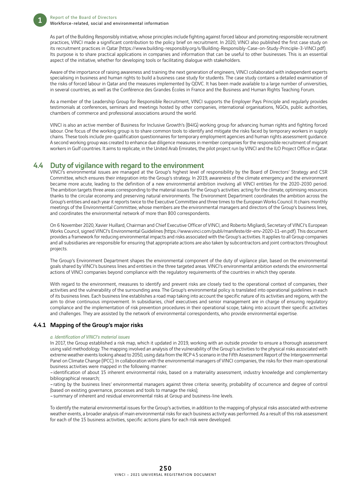

As part of the Building Responsibly initiative, whose principles include fighting against forced labour and promoting responsible recruitment practices, VINCI made a significant contribution to the policy brief on recruitment. In 2020, VINCI also published the first case study on its recruitment practices in Qatar (https://www.building-responsibly.org/s/Building-Responsibly-Case-on-Study-Principle-3-VINCI.pdf). Its purpose is to share practical applications in companies and information that can be useful to other businesses. This is an essential aspect of the initiative, whether for developing tools or facilitating dialogue with stakeholders.

Aware of the importance of raising awareness and training the next generation of engineers, VINCI collaborated with independent experts specialising in business and human rights to build a business case study for students. The case study contains a detailed examination of the risks of forced labour in Qatar and the measures implemented by QDVC. It has been made available to a large number of universities, in several countries, as well as the Conférence des Grandes Écoles in France and the Business and Human Rights Teaching Forum.

As a member of the Leadership Group for Responsible Recruitment, VINCI supports the Employer Pays Principle and regularly provides testimonials at conferences, seminars and meetings hosted by other companies, international organisations, NGOs, public authorities, chambers of commerce and professional associations around the world.

VINCI is also an active member of Business for Inclusive Growth's (B4IG) working group for advancing human rights and fighting forced labour. One focus of the working group is to share common tools to identify and mitigate the risks faced by temporary workers in supply chains. These tools include pre-qualification questionnaires for temporary employment agencies and human rights assessment guidance. A second working group was created to enhance due diligence measures in member companies for the responsible recruitment of migrant workers in Gulf countries. It aims to replicate, in the United Arab Emirates, the pilot project run by VINCI and the ILO Project Office in Qatar.

### 4.4 Duty of vigilance with regard to the environment

VINCI's environmental issues are managed at the Group's highest level of responsibility by the Board of Directors' Strategy and CSR Committee, which ensures their integration into the Group's strategy. In 2019, awareness of the climate emergency and the environment became more acute, leading to the definition of a new environmental ambition involving all VINCI entities for the 2020-2030 period. The ambition targets three areas corresponding to the material issues for the Group's activities: acting for the climate, optimising resources thanks to the circular economy and preserving natural environments. The Environment Department coordinates the ambition across the Group's entities and each year it reports twice to the Executive Committee and three times to the European Works Council. It chairs monthly meetings of the Environmental Committee, whose members are the environmental managers and directors of the Group's business lines, and coordinates the environmental network of more than 800 correspondents.

On 6 November 2020, Xavier Huillard, Chairman and Chief Executive Officer of VINCI, and Roberto Migliardi, Secretary of VINCI's European Works Council, signed VINCI's Environmental Guidelines (https://www.vinci.com/publi/manifeste/dir-env-2020-11-en.pdf). This document provides a framework for reducing environmental impacts and risks associated with the Group's activities. It applies to all Group companies and all subsidiaries are responsible for ensuring that appropriate actions are also taken by subcontractors and joint contractors throughout projects.

The Group's Environment Department shapes the environmental component of the duty of vigilance plan, based on the environmental goals shared by VINCI's business lines and entities in the three targeted areas. VINCI's environmental ambition extends the environmental actions of VINCI companies beyond compliance with the regulatory requirements of the countries in which they operate.

With regard to the environment, measures to identify and prevent risks are closely tied to the operational context of companies, their activities and the vulnerability of the surrounding area. The Group's environmental policy is translated into operational guidelines in each of its business lines. Each business line establishes a road map taking into account the specific nature of its activities and regions, with the aim to drive continuous improvement. In subsidiaries, chief executives and senior management are in charge of ensuring regulatory compliance and the implementation of risk prevention procedures in their operational scope, taking into account their specific activities and challenges. They are assisted by the network of environmental correspondents, who provide environmental expertise.

#### 4.4.1 Mapping of the Group's major risks

#### *a. Identification of VINCI's material issues*

In 2017, the Group established a risk map, which it updated in 2019, working with an outside provider to ensure a thorough assessment using valid methodology. The mapping involved an analysis of the vulnerability of the Group's activities to the physical risks associated with extreme weather events looking ahead to 2050, using data from the RCP 4.5 scenario in the Fifth Assessment Report of the Intergovernmental Panel on Climate Change (IPCC). In collaboration with the environmental managers of VINCI companies, the risks for their main operational business activities were mapped in the following manner:

–identification of about 15 inherent environmental risks, based on a materiality assessment, industry knowledge and complementary bibliographical research;

–rating by the business lines' environmental managers against three criteria: severity, probability of occurrence and degree of control (based on existing governance, processes and tools to manage the risks);

–summary of inherent and residual environmental risks at Group and business-line levels.

To identify the material environmental issues for the Group's activities, in addition to the mapping of physical risks associated with extreme weather events, a broader analysis of main environmental risks for each business activity was performed. As a result of this risk assessment for each of the 15 business activities, specific actions plans for each risk were developed.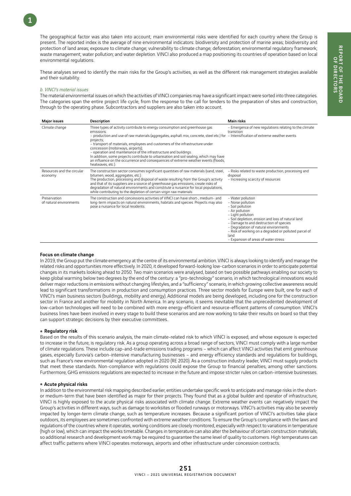The geographical factor was also taken into account; main environmental risks were identified for each country where the Group is present. The reported index is the average of nine environmental indicators: biodiversity and protection of marine areas; biodiversity and protection of land areas; exposure to climate change; vulnerability to climate change; deforestation; environmental regulatory framework; waste management; water pollution; and water depletion. VINCI also produced a map positioning its countries of operation based on local environmental regulations.

These analyses served to identify the main risks for the Group's activities, as well as the different risk management strategies available and their suitability.

#### *b. VINCI's material issues*

1

The material environmental issues on which the activities of VINCI companies may have a significant impact were sorted into three categories. The categories span the entire project life cycle, from the response to the call for tenders to the preparation of sites and construction, through to the operating phase. Subcontractors and suppliers are also taken into account.

| <b>Major issues</b>                     | <b>Description</b>                                                                                                                                                                                                                                                                                                                                                                                                                                                                                                                                                                                 | Main risks                                                                                                                                                                                                                                                                                                                                           |
|-----------------------------------------|----------------------------------------------------------------------------------------------------------------------------------------------------------------------------------------------------------------------------------------------------------------------------------------------------------------------------------------------------------------------------------------------------------------------------------------------------------------------------------------------------------------------------------------------------------------------------------------------------|------------------------------------------------------------------------------------------------------------------------------------------------------------------------------------------------------------------------------------------------------------------------------------------------------------------------------------------------------|
| Climate change                          | Three types of activity contribute to energy consumption and greenhouse gas<br>emissions:<br>- production and use of raw materials (aggregates, asphalt mix, concrete, steel etc.) for<br>projects;<br>- transport of materials, employees and customers of the infrastructure under<br>concession (motorways, airports);<br>- operation and maintenance of the infrastructure and buildings.<br>In addition, some projects contribute to urbanisation and soil sealing, which may have<br>an influence on the occurrence and consequences of extreme weather events (floods,<br>heatwaves, etc.). | - Emergence of new regulations relating to the climate<br>transition<br>- Intensification of extreme weather events                                                                                                                                                                                                                                  |
| Resources and the circular<br>economy   | The construction sector consumes significant quantities of raw materials (sand, steel,<br>bitumen, wood, aggregates, etc.).<br>The production, processing and disposal of waste resulting from the Group's activity<br>and that of its suppliers are a source of greenhouse gas emissions, create risks of<br>degradation of natural environments and constitute a nuisance for local populations,<br>while contributing to the depletion of certain virgin raw materials.                                                                                                                         | - Risks related to waste production, processing and<br>disposal<br>- Increasing scarcity of resources                                                                                                                                                                                                                                                |
| Preservation<br>of natural environments | The construction and concessions activities of VINCI can have short-, medium- and<br>long-term impacts on natural environments, habitats and species. Projects may also<br>pose a nuisance for local residents.                                                                                                                                                                                                                                                                                                                                                                                    | - Water pollution<br>- Noise pollution<br>- Soil pollution<br>- Air pollution<br>- Light pollution<br>- Soil depletion, erosion and loss of natural land<br>- Damage to and destruction of species<br>- Degradation of natural environments<br>- Risk of working on a degraded or polluted parcel of<br>land<br>- Expansion of areas of water stress |

#### Focus on climate change

In 2019, the Group put the climate emergency at the centre of its environmental ambition. VINCI is always looking to identify and manage the related risks and opportunities more effectively. In 2020, it developed forward-looking low-carbon scenarios in order to anticipate potential changes in its markets looking ahead to 2050. Two main scenarios were analysed, based on two possible pathways enabling our society to keep global warming below two degrees by the end of the century: a "pro-technology" scenario, in which technological innovations would deliver major reductions in emissions without changing lifestyles, and a "sufficiency" scenario, in which growing collective awareness would lead to significant transformations in production and consumption practices. Three sector models for Europe were built, one for each of VINCI's main business sectors (buildings, mobility and energy). Additional models are being developed, including one for the construction sector in France and another for mobility in North America. In any scenario, it seems inevitable that the unprecedented development of low-carbon technologies will need to be combined with more energy-efficient and resource-efficient patterns of consumption. VINCI's business lines have been involved in every stage to build these scenarios and are now working to take their results on board so that they can support strategic decisions by their executive committees.

#### ● Regulatory risk

Based on the results of this scenario analysis, the main climate-related risk to which VINCI is exposed, and whose exposure is expected to increase in the future, is regulatory risk. As a group operating across a broad range of sectors, VINCI must comply with a large number of climate regulations. These include cap-and-trade emissions trading programs – which can affect VINCI activities that emit greenhouse gases, especially Eurovia's carbon-intensive manufacturing businesses – and energy efficiency standards and regulations for buildings, such as France's new environmental regulation adopted in 2020 (RE 2020). As a construction industry leader, VINCI must supply products that meet these standards. Non-compliance with regulations could expose the Group to financial penalties, among other sanctions. Furthermore, GHG emissions regulations are expected to increase in the future and impose stricter rules on carbon-intensive businesses.

#### • Acute physical risks

In addition to the environmental risk mapping described earlier, entities undertake specific work to anticipate and manage risks in the shortor medium-term that have been identified as major for their projects. They found that as a global builder and operator of infrastructure, VINCI is highly exposed to the acute physical risks associated with climate change. Extreme weather events can negatively impact the Group's activities in different ways, such as damage to worksites or flooded runways or motorways. VINCI's activities may also be severely impacted by longer-term climate change, such as temperature increases. Because a significant portion of VINCI's activities take place outdoors, its employees are sometimes confronted with extreme weather conditions. To ensure the Group's compliance with the laws and regulations of the countries where it operates, working conditions are closely monitored, especially with respect to variations in temperature (high or low), which can impact the works timetable. Changes in temperature can also alter the behaviour of certain construction materials, so additional research and development work may be required to guarantee the same level of quality to customers. High temperatures can affect traffic patterns where VINCI operates motorways, airports and other infrastructure under concession contracts.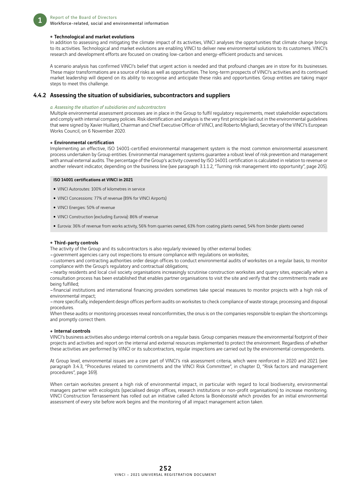

#### • Technological and market evolutions

In addition to assessing and mitigating the climate impact of its activities, VINCI analyses the opportunities that climate change brings to its activities. Technological and market evolutions are enabling VINCI to deliver new environmental solutions to its customers. VINCI's research and development efforts are focused on creating low-carbon and energy-efficient products and services.

A scenario analysis has confirmed VINCI's belief that urgent action is needed and that profound changes are in store for its businesses. These major transformations are a source of risks as well as opportunities. The long-term prospects of VINCI's activities and its continued market leadership will depend on its ability to recognise and anticipate these risks and opportunities. Group entities are taking major steps to meet this challenge.

#### 4.4.2 Assessing the situation of subsidiaries, subcontractors and suppliers

#### *a. Assessing the situation of subsidiaries and subcontractors*

Multiple environmental assessment processes are in place in the Group to fulfil regulatory requirements, meet stakeholder expectations and comply with internal company policies. Risk identification and analysis is the very first principle laid out in the environmental guidelines that were signed by Xavier Huillard, Chairman and Chief Executive Officer of VINCI, and Roberto Migliardi, Secretary of the VINCI's European Works Council, on 6 November 2020.

#### **• Environmental certification**

Implementing an effective, ISO 14001-certified environmental management system is the most common environmental assessment process undertaken by Group entities. Environmental management systems guarantee a robust level of risk prevention and management with annual external audits. The percentage of the Group's activity covered by ISO 14001 certification is calculated in relation to revenue or another relevant indicator, depending on the business line (see paragraph 3.1.1.2, "Turning risk management into opportunity", page 205).

#### ISO 14001 certifications at VINCI in 2021

- VINCI Autoroutes: 100% of kilometres in service
- VINCI Concessions: 77% of revenue (89% for VINCI Airports)
- VINCI Energies: 50% of revenue
- VINCI Construction (excluding Eurovia): 86% of revenue
- Eurovia: 36% of revenue from works activity, 56% from quarries owned, 63% from coating plants owned, 54% from binder plants owned

#### • Third-party controls

The activity of the Group and its subcontractors is also regularly reviewed by other external bodies:

–government agencies carry out inspections to ensure compliance with regulations on worksites;

–customers and contracting authorities order design offices to conduct environmental audits of worksites on a regular basis, to monitor compliance with the Group's regulatory and contractual obligations;

–nearby residents and local civil society organisations increasingly scrutinise construction worksites and quarry sites, especially when a consultation process has been established that enables partner organisations to visit the site and verify that the commitments made are being fulfilled;

–financial institutions and international financing providers sometimes take special measures to monitor projects with a high risk of environmental impact;

–more specifically, independent design offices perform audits on worksites to check compliance of waste storage, processing and disposal procedures.

When these audits or monitoring processes reveal nonconformities, the onus is on the companies responsible to explain the shortcomings and promptly correct them.

#### $\bullet$  Internal controls

VINCI's business activities also undergo internal controls on a regular basis. Group companies measure the environmental footprint of their projects and activities and report on the internal and external resources implemented to protect the environment. Regardless of whether these activities are performed by VINCI or its subcontractors, regular inspections are carried out by the environmental correspondents.

At Group level, environmental issues are a core part of VINCI's risk assessment criteria, which were reinforced in 2020 and 2021 (see paragraph 3.4.3, "Procedures related to commitments and the VINCI Risk Committee", in chapter D, "Risk factors and management procedures", page 169).

When certain worksites present a high risk of environmental impact, in particular with regard to local biodiversity, environmental managers partner with ecologists (specialised design offices, research institutions or non-profit organisations) to increase monitoring. VINCI Construction Terrassement has rolled out an initiative called Actons la Bionécessité which provides for an initial environmental assessment of every site before work begins and the monitoring of all impact management action taken.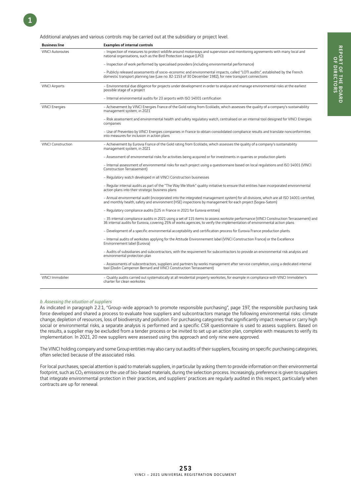Additional analyses and various controls may be carried out at the subsidiary or project level.

1

| <b>Business line</b>      | <b>Examples of internal controls</b>                                                                                                                                                                                                                                |
|---------------------------|---------------------------------------------------------------------------------------------------------------------------------------------------------------------------------------------------------------------------------------------------------------------|
| <b>VINCI Autoroutes</b>   | - Inspection of measures to protect wildlife around motorways and supervision and monitoring agreements with many local and<br>national organisations, such as the Bird Protection League (LPO)                                                                     |
|                           | - Inspection of work performed by specialised providers (including environmental performance)                                                                                                                                                                       |
|                           | - Publicly released assessments of socio-economic and environmental impacts, called "LOTI audits", established by the French<br>domestic transport planning law (Law no. 82-1153 of 30 December 1982), for new transport connections                                |
| <b>VINCI Airports</b>     | – Environmental due diligence for projects under development in order to analyse and manage environmental risks at the earliest<br>possible stage of a project                                                                                                      |
|                           | - Internal environmental audits for 23 airports with ISO 14001 certification                                                                                                                                                                                        |
| <b>VINCI Energies</b>     | - Achievement by VINCI Energies France of the Gold rating from EcoVadis, which assesses the quality of a company's sustainability<br>management system, in 2021                                                                                                     |
|                           | – Risk assessment and environmental health and safety regulatory watch, centralised on an internal tool designed for VINCI Energies<br>companies                                                                                                                    |
|                           | - Use of Preventeo by VINCI Energies companies in France to obtain consolidated compliance results and translate nonconformities<br>into measures for inclusion in action plans                                                                                     |
| <b>VINCI Construction</b> | - Achievement by Eurovia France of the Gold rating from EcoVadis, which assesses the quality of a company's sustainability<br>management system, in 2021                                                                                                            |
|                           | - Assessment of environmental risks for activities being acquired or for investments in quarries or production plants                                                                                                                                               |
|                           | - Internal assessment of environmental risks for each project using a questionnaire based on local regulations and ISO 14001 (VINCI<br>Construction Terrassement)                                                                                                   |
|                           | - Regulatory watch developed in all VINCI Construction businesses                                                                                                                                                                                                   |
|                           | - Regular internal audits as part of the "The Way We Work" quality initiative to ensure that entities have incorporated environmental<br>action plans into their strategic business plans                                                                           |
|                           | - Annual environmental audit (incorporated into the integrated management system) for all divisions, which are all ISO 14001 certified,<br>and monthly health, safety and environment (HSE) inspections by management for each project (Sogea-Satom)                |
|                           | - Regulatory compliance audits (125 in France in 2021 for Eurovia entities)                                                                                                                                                                                         |
|                           | - 35 internal compliance audits in 2021 using a set of 115 items to assess worksite performance (VINCI Construction Terrassement) and<br>36 internal audits for Eurovia, covering 25% of works agencies, to verify the implementation of environmental action plans |
|                           | - Development of a specific environmental acceptability and certification process for Eurovia France production plants                                                                                                                                              |
|                           | - Internal audits of worksites applying for the Attitude Environnement label (VINCI Construction France) or the Excellence<br>Environnement label (Eurovia)                                                                                                         |
|                           | - Audits of subsidiaries and subcontractors, with the requirement for subcontractors to provide an environmental risk analysis and<br>environmental protection plan                                                                                                 |
|                           | - Assessments of subcontractors, suppliers and partners by works management after service completion, using a dedicated internal<br>tool (Dodin Campenon Bernard and VINCI Construction Terrassement)                                                               |
| <b>VINCI Immobilier</b>   | - Quality audits carried out systematically at all residential property worksites, for example in compliance with VINCI Immobilier's<br>charter for clean worksites                                                                                                 |

#### *b. Assessing the situation of suppliers*

As indicated in paragraph 2.2.1, "Group-wide approach to promote responsible purchasing", page 197, the responsible purchasing task force developed and shared a process to evaluate how suppliers and subcontractors manage the following environmental risks: climate change, depletion of resources, loss of biodiversity and pollution. For purchasing categories that significantly impact revenue or carry high social or environmental risks, a separate analysis is performed and a specific CSR questionnaire is used to assess suppliers. Based on the results, a supplier may be excluded from a tender process or be invited to set up an action plan, complete with measures to verify its implementation. In 2021, 20 new suppliers were assessed using this approach and only nine were approved.

The VINCI holding company and some Group entities may also carry out audits of their suppliers, focusing on specific purchasing categories, often selected because of the associated risks.

For local purchases, special attention is paid to materials suppliers, in particular by asking them to provide information on their environmental footprint, such as CO<sub>2</sub> emissions or the use of bio-based materials, during the selection process. Increasingly, preference is given to suppliers that integrate environmental protection in their practices, and suppliers' practices are regularly audited in this respect, particularly when contracts are up for renewal.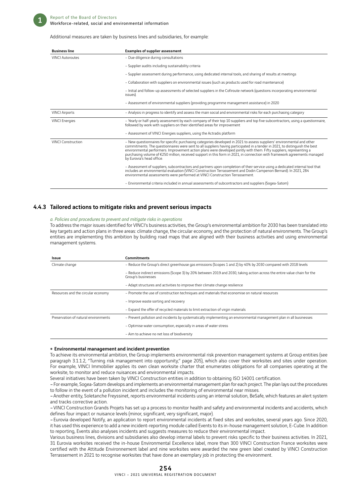

#### Additional measures are taken by business lines and subsidiaries, for example:

| <b>Business line</b>     | <b>Examples of supplier assessment</b>                                                                                                                                                                                                                                                                                                                                                                                                                                                                                                  |
|--------------------------|-----------------------------------------------------------------------------------------------------------------------------------------------------------------------------------------------------------------------------------------------------------------------------------------------------------------------------------------------------------------------------------------------------------------------------------------------------------------------------------------------------------------------------------------|
| <b>VINCI Autoroutes</b>  | - Due diligence during consultations                                                                                                                                                                                                                                                                                                                                                                                                                                                                                                    |
|                          | - Supplier audits including sustainability criteria                                                                                                                                                                                                                                                                                                                                                                                                                                                                                     |
|                          | - Supplier assessment during performance, using dedicated internal tools, and sharing of results at meetings                                                                                                                                                                                                                                                                                                                                                                                                                            |
|                          | - Collaboration with suppliers on environmental issues (such as products used for road maintenance)                                                                                                                                                                                                                                                                                                                                                                                                                                     |
|                          | - Initial and follow-up assessments of selected suppliers in the Cofiroute network (questions incorporating environmental<br>issues).                                                                                                                                                                                                                                                                                                                                                                                                   |
|                          | - Assessment of environmental suppliers (providing programme management assistance) in 2020                                                                                                                                                                                                                                                                                                                                                                                                                                             |
| <b>VINCI Airports</b>    | - Analysis in progress to identify and assess the main social and environmental risks for each purchasing category                                                                                                                                                                                                                                                                                                                                                                                                                      |
| <b>VINCI Energies</b>    | - Yearly or half-yearly assessment by each company of their top 10 suppliers and top five subcontractors, using a questionnaire,<br>followed by work with suppliers on their identified areas for improvement                                                                                                                                                                                                                                                                                                                           |
|                          | - Assessment of VINCI Energies suppliers, using the Actradis platform                                                                                                                                                                                                                                                                                                                                                                                                                                                                   |
| <b>VINCLConstruction</b> | - New questionnaires for specific purchasing categories developed in 2021 to assess suppliers' environmental and other<br>commitments. The questionnaires were sent to all suppliers having participated in a tender in 2021, to distinguish the best<br>environmental performers. Improvement action plans were developed jointly with them. Fifty suppliers, representing a<br>purchasing volume of €250 million, received support in this form in 2021, in connection with framework agreements managed<br>by Eurovia's head office. |
|                          | - Assessment of suppliers, subcontractors and partners upon completion of their service using a dedicated internal tool that<br>includes an environmental evaluation (VINCI Construction Terrassement and Dodin Campenon Bernard). In 2021, 284<br>environmental assessments were performed at VINCI Construction Terrassement.                                                                                                                                                                                                         |
|                          | - Environmental criteria included in annual assessments of subcontractors and suppliers (Sogea-Satom)                                                                                                                                                                                                                                                                                                                                                                                                                                   |

#### 4.4.3 Tailored actions to mitigate risks and prevent serious impacts

#### *a. Policies and procedures to prevent and mitigate risks in operations*

To address the major issues identified for VINCI's business activities, the Group's environmental ambition for 2030 has been translated into key targets and action plans in three areas: climate change, the circular economy, and the protection of natural environments. The Group's entities are implementing this ambition by building road maps that are aligned with their business activities and using environmental management systems.

| Issue                                | <b>Commitments</b>                                                                                                                            |
|--------------------------------------|-----------------------------------------------------------------------------------------------------------------------------------------------|
| Climate change                       | - Reduce the Group's direct greenhouse gas emissions (Scopes 1 and 2) by 40% by 2030 compared with 2018 levels                                |
|                                      | - Reduce indirect emissions (Scope 3) by 20% between 2019 and 2030, taking action across the entire value chain for the<br>Group's businesses |
|                                      | - Adapt structures and activities to improve their climate change resilience                                                                  |
| Resources and the circular economy   | - Promote the use of construction techniques and materials that economise on natural resources                                                |
|                                      | - Improve waste sorting and recovery                                                                                                          |
|                                      | - Expand the offer of recycled materials to limit extraction of virgin materials                                                              |
| Preservation of natural environments | - Prevent pollution and incidents by systematically implementing an environmental management plan in all businesses                           |
|                                      | - Optimise water consumption, especially in areas of water stress                                                                             |
|                                      | - Aim to achieve no net loss of biodiversity                                                                                                  |

#### • Environmental management and incident prevention

To achieve its environmental ambition, the Group implements environmental risk prevention management systems at Group entities (see paragraph 3.1.1.2, "Turning risk management into opportunity," page 205), which also cover their worksites and sites under operation. For example, VINCI Immobilier applies its own clean worksite charter that enumerates obligations for all companies operating at the worksite, to monitor and reduce nuisances and environmental impacts.

Several initiatives have been taken by VINCI Construction entities in addition to obtaining ISO 14001 certification.

–For example, Sogea-Satom develops and implements an environmental management plan for each project. The plan lays out the procedures to follow in the event of a pollution incident and includes the monitoring of environmental near misses.

–Another entity, Soletanche Freyssinet, reports environmental incidents using an internal solution, BeSafe, which features an alert system and tracks corrective action.

–VINCI Construction Grands Projets has set up a process to monitor health and safety and environmental incidents and accidents, which defines four impact or nuisance levels (minor, significant, very significant, major).

–Eurovia developed Notify, an application to report environmental incidents at fixed sites and worksites, several years ago. Since 2020, it has used this experience to add a new incident-reporting module called Events to its in-house management solution, E-Cube. In addition to reporting, Events also analyses incidents and suggests measures to reduce their environmental impact.

Various business lines, divisions and subsidiaries also develop internal labels to prevent risks specific to their business activities. In 2021, 31 Eurovia worksites received the in-house Environmental Excellence label, more than 300 VINCI Construction France worksites were certified with the Attitude Environnement label and nine worksites were awarded the new green label created by VINCI Construction Terrassement in 2021 to recognise worksites that have done an exemplary job in protecting the environment.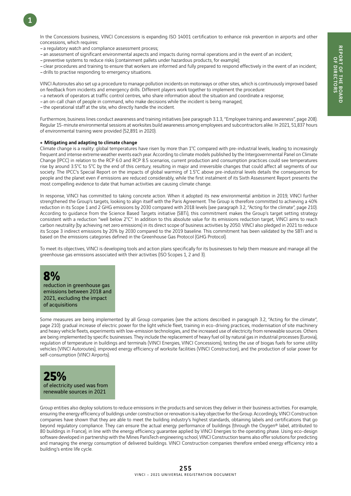In the Concessions business, VINCI Concessions is expanding ISO 14001 certification to enhance risk prevention in airports and other concessions, which requires:

–a regulatory watch and compliance assessment process;

- –an assessment of significant environmental aspects and impacts during normal operations and in the event of an incident;
- –preventive systems to reduce risks (containment pallets under hazardous products, for example);

–clear procedures and training to ensure that workers are informed and fully prepared to respond effectively in the event of an incident; –drills to practise responding to emergency situations.

VINCI Autoroutes also set up a procedure to manage pollution incidents on motorways or other sites, which is continuously improved based on feedback from incidents and emergency drills. Different players work together to implement the procedure:

- –a network of operators at traffic control centres, who share information about the situation and coordinate a response;
- –an on-call chain of people in command, who make decisions while the incident is being managed;
- –the operational staff at the site, who directly handle the incident.

Furthermore, business lines conduct awareness and training initiatives (see paragraph 3.1.3, "Employee training and awareness", page 208). Regular 15-minute environmental sessions at worksites build awareness among employees and subcontractors alike. In 2021, 51,837 hours of environmental training were provided (52,891 in 2020).

#### • Mitigating and adapting to climate change

Climate change is a reality: global temperatures have risen by more than 1°C compared with pre-industrial levels, leading to increasingly frequent and intense extreme weather events each year. According to climate models published by the Intergovernmental Panel on Climate Change (IPCC) in relation to the RCP 6.0 and RCP 8.5 scenarios, current production and consumption practices could see temperatures rise by around 3.5°C to 5°C by the end of this century, resulting in major and irreversible changes that could affect all segments of our society. The IPCC's Special Report on the impacts of global warming of 1.5°C above pre-industrial levels details the consequences for people and the planet even if emissions are reduced considerably, while the first instalment of its Sixth Assessment Report presents the most compelling evidence to date that human activities are causing climate change.

In response, VINCI has committed to taking concrete action. When it adopted its new environmental ambition in 2019, VINCI further strengthened the Group's targets, looking to align itself with the Paris Agreement. The Group is therefore committed to achieving a 40% reduction in its Scope 1 and 2 GHG emissions by 2030 compared with 2018 levels (see paragraph 3.2, "Acting for the climate", page 210). According to guidance from the Science Based Targets initiative (SBTi), this commitment makes the Group's target setting strategy consistent with a reduction "well below 2°C". In addition to this absolute value for its emissions reduction target, VINCI aims to reach carbon neutrality (by achieving net zero emissions) in its direct scope of business activities by 2050. VINCI also pledged in 2021 to reduce its Scope 3 indirect emissions by 20% by 2030 compared to the 2019 baseline. This commitment has been validated by the SBTi and is based on the emissions categories defined in the Greenhouse Gas Protocol (GHG Protocol).

To meet its objectives, VINCI is developing tools and action plans specifically for its businesses to help them measure and manage all the greenhouse gas emissions associated with their activities (ISO Scopes 1, 2 and 3).

## **8%**

reduction in greenhouse gas emissions between 2018 and 2021, excluding the impact of acquisitions

Some measures are being implemented by all Group companies (see the actions described in paragraph 3.2, "Acting for the climate", page 210): gradual increase of electric power for the light vehicle fleet, training in eco-driving practices, modernisation of site machinery and heavy vehicle fleets, experiments with low-emission technologies, and the increased use of electricity from renewable sources. Others are being implemented by specific businesses. They include the replacement of heavy fuel oil by natural gas in industrial processes (Eurovia), regulation of temperature in buildings and terminals (VINCI Energies, VINCI Concessions), testing the use of biogas fuels for some utility vehicles (VINCI Autoroutes), improved energy efficiency of worksite facilities (VINCI Construction), and the production of solar power for self-consumption (VINCI Airports).

**25%** of electricity used was from renewable sources in 2021

Group entities also deploy solutions to reduce emissions in the products and services they deliver in their business activities. For example, ensuring the energy efficiency of buildings under construction or renovation is a key objective for the Group. Accordingly, VINCI Construction companies have shown that they are able to meet the building industry's highest standards, obtaining labels and certifications that go beyond regulatory compliance. They can ensure the actual energy performance of buildings (through the Oxygen® label, attributed to 80 buildings in France), in line with the energy efficiency guarantee applied by VINCI Energies to the operating phase. Using eco-design software developed in partnership with the Mines ParisTech engineering school, VINCI Construction teams also offer solutions for predicting and managing the energy consumption of delivered buildings. VINCI Construction companies therefore embed energy efficiency into a building's entire life cycle.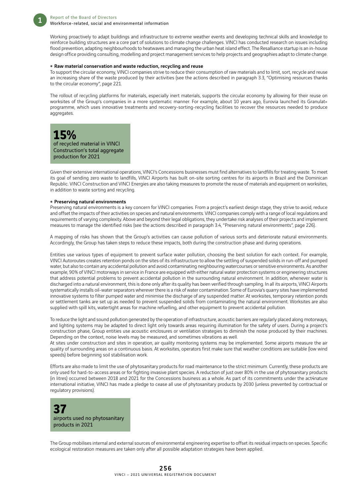Working proactively to adapt buildings and infrastructure to extreme weather events and developing technical skills and knowledge to reinforce building structures are a core part of solutions to climate change challenges. VINCI has conducted research on issues including flood prevention, adapting neighbourhoods to heatwaves and managing the urban heat island effect. The Resalliance startup is an in-house design office providing consulting, modelling and project management services to help projects and geographies adapt to climate change.

#### • Raw material conservation and waste reduction, recycling and reuse

To support the circular economy, VINCI companies strive to reduce their consumption of raw materials and to limit, sort, recycle and reuse an increasing share of the waste produced by their activities (see the actions described in paragraph 3.3, "Optimising resources thanks to the circular economy", page 221.

The rollout of recycling platforms for materials, especially inert materials, supports the circular economy by allowing for their reuse on worksites of the Group's companies in a more systematic manner. For example, about 10 years ago, Eurovia launched its Granulat+ programme, which uses innovative treatments and recovery-sorting-recycling facilities to recover the resources needed to produce aggregates.

## **15%**

of recycled material in VINCI Construction's total aggregate production for 2021

Given their extensive international operations, VINCI's Concessions businesses must find alternatives to landfills for treating waste. To meet its goal of sending zero waste to landfills, VINCI Airports has built on-site sorting centres for its airports in Brazil and the Dominican Republic. VINCI Construction and VINCI Energies are also taking measures to promote the reuse of materials and equipment on worksites, in addition to waste sorting and recycling.

#### **• Preserving natural environments**

Preserving natural environments is a key concern for VINCI companies. From a project's earliest design stage, they strive to avoid, reduce and offset the impacts of their activities on species and natural environments. VINCI companies comply with a range of local regulations and requirements of varying complexity. Above and beyond their legal obligations, they undertake risk analyses of their projects and implement measures to manage the identified risks (see the actions described in paragraph 3.4, "Preserving natural environments", page 226).

A mapping of risks has shown that the Group's activities can cause pollution of various sorts and deteriorate natural environments. Accordingly, the Group has taken steps to reduce these impacts, both during the construction phase and during operations.

Entities use various types of equipment to prevent surface water pollution, choosing the best solution for each context. For example, VINCI Autoroutes creates retention ponds on the sites of its infrastructure to allow the settling of suspended solids in run-off and pumped water, but also to contain any accidental pollution and avoid contaminating neighbouring watercourses or sensitive environments. As another example, 90% of VINCI motorways in service in France are equipped with either natural water protection systems or engineering structures that address potential problems to prevent accidental pollution in the surrounding natural environment. In addition, whenever water is discharged into a natural environment, this is done only after its quality has been verified through sampling. In all its airports, VINCI Airports systematically installs oil-water separators wherever there is a risk of water contamination. Some of Eurovia's quarry sites have implemented innovative systems to filter pumped water and minimise the discharge of any suspended matter. At worksites, temporary retention ponds or settlement tanks are set up as needed to prevent suspended solids from contaminating the natural environment. Worksites are also supplied with spill kits, watertight areas for machine refuelling, and other equipment to prevent accidental pollution.

To reduce the light and sound pollution generated by the operation of infrastructure, acoustic barriers are regularly placed along motorways, and lighting systems may be adapted to direct light only towards areas requiring illumination for the safety of users. During a project's construction phase, Group entities use acoustic enclosures or ventilation strategies to diminish the noise produced by their machines. Depending on the context, noise levels may be measured, and sometimes vibrations as well.

At sites under construction and sites in operation, air quality monitoring systems may be implemented. Some airports measure the air quality of surrounding areas on a continuous basis. At worksites, operators first make sure that weather conditions are suitable (low wind speeds) before beginning soil stabilisation work.

Efforts are also made to limit the use of phytosanitary products for road maintenance to the strict minimum. Currently, these products are only used for hard-to-access areas or for fighting invasive plant species. A reduction of just over 80% in the use of phytosanitary products (in litres) occurred between 2018 and 2021 for the Concessions business as a whole. As part of its commitments under the act4nature international initiative, VINCI has made a pledge to cease all use of phytosanitary products by 2030 (unless prevented by contractual or regulatory provisions).

### **37** airports used no phytosanitary products in 2021

The Group mobilises internal and external sources of environmental engineering expertise to offset its residual impacts on species. Specific ecological restoration measures are taken only after all possible adaptation strategies have been applied.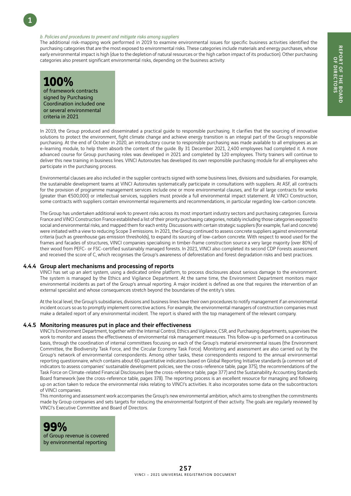#### *b. Policies and procedures to prevent and mitigate risks among suppliers*

The additional risk-mapping work performed in 2019 to examine environmental issues for specific business activities identified the purchasing categories that are the most exposed to environmental risks. These categories include materials and energy purchases, whose early environmental impact is high (due to the depletion of natural resources or the high carbon impact of its production). Other purchasing categories also present significant environmental risks, depending on the business activity.



1

of framework contracts signed by Purchasing Coordination included one or several environmental criteria in 2021

In 2019, the Group produced and disseminated a practical guide to responsible purchasing. It clarifies that the sourcing of innovative solutions to protect the environment, fight climate change and achieve energy transition is an integral part of the Group's responsible purchasing. At the end of October in 2020, an introductory course to responsible purchasing was made available to all employees as an e-learning module, to help them absorb the content of the guide. By 31 December 2021, 2,400 employees had completed it. A more advanced course for Group purchasing roles was developed in 2021 and completed by 120 employees. Thirty trainers will continue to deliver this new training in business lines. VINCI Autoroutes has developed its own responsible purchasing module for all employees who participate in the purchasing process.

Environmental clauses are also included in the supplier contracts signed with some business lines, divisions and subsidiaries. For example, the sustainable development teams at VINCI Autoroutes systematically participate in consultations with suppliers. At ASF, all contracts for the provision of programme management services include one or more environmental clauses, and for all large contracts for works (greater than €500,000) or intellectual services, suppliers must provide a full environmental impact statement. At VINCI Construction, some contracts with suppliers contain environmental requirements and recommendations, in particular regarding low-carbon concrete.

The Group has undertaken additional work to prevent risks across its most important industry sectors and purchasing categories. Eurovia France and VINCI Construction France established a list of their priority purchasing categories, notably including those categories exposed to social and environmental risks, and mapped them for each entity. Discussions with certain strategic suppliers (for example, fuel and concrete) were initiated with a view to reducing Scope 3 emissions. In 2021, the Group continued to assess concrete suppliers against environmental criteria (such as greenhouse gas emission thresholds), to expand its sourcing of low-carbon concrete. With respect to wood used for the frames and facades of structures, VINCI companies specialising in timber-frame construction source a very large majority (over 80%) of their wood from PEFC- or FSC-certified sustainably managed forests. In 2021, VINCI also completed its second CDP Forests assessment and received the score of C, which recognises the Group's awareness of deforestation and forest degradation risks and best practices.

#### 4.4.4 Group alert mechanisms and processing of reports

VINCI has set up an alert system, using a dedicated online platform, to process disclosures about serious damage to the environment. The system is managed by the Ethics and Vigilance Department. At the same time, the Environment Department monitors major environmental incidents as part of the Group's annual reporting. A major incident is defined as one that requires the intervention of an external specialist and whose consequences stretch beyond the boundaries of the entity's sites.

At the local level, the Group's subsidiaries, divisions and business lines have their own procedures to notify management if an environmental incident occurs so as to promptly implement corrective actions. For example, the environmental managers of construction companies must make a detailed report of any environmental incident. The report is shared with the top management of the relevant company.

#### 4.4.5 Monitoring measures put in place and their effectiveness

VINCI's Environment Department, together with the Internal Control, Ethics and Vigilance, CSR, and Purchasing departments, supervises the work to monitor and assess the effectiveness of environmental risk management measures. This follow-up is performed on a continuous basis, through the coordination of internal committees focusing on each of the Group's material environmental issues (the Environment Committee, the Biodiversity Task Force, and the Circular Economy Task Force). Monitoring and assessment are also carried out by the Group's network of environmental correspondents. Among other tasks, these correspondents respond to the annual environmental reporting questionnaire, which contains about 60 quantitative indicators based on Global Reporting Initiative standards (a common set of indicators to assess companies' sustainable development policies, see the cross-reference table, page 375), the recommendations of the Task Force on Climate-related Financial Disclosures (see the cross-reference table, page 377) and the Sustainability Accounting Standards Board framework (see the cross-reference table, pages 378). The reporting process is an excellent resource for managing and following up on action taken to reduce the environmental risks relating to VINCI's activities. It also incorporates some data on the subcontractors of VINCI companies.

This monitoring and assessment work accompanies the Group's new environmental ambition, which aims to strengthen the commitments made by Group companies and sets targets for reducing the environmental footprint of their activity. The goals are regularly reviewed by VINCI's Executive Committee and Board of Directors.

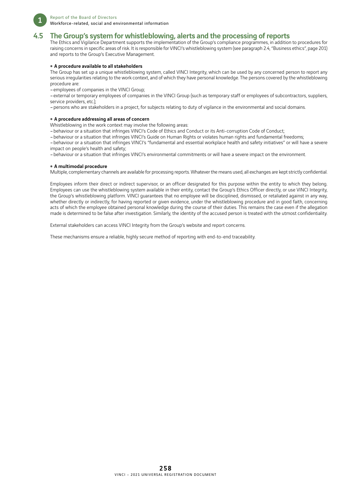

### 4.5 The Group's system for whistleblowing, alerts and the processing of reports

The Ethics and Vigilance Department supports the implementation of the Group's compliance programmes, in addition to procedures for raising concerns in specific areas of risk. It is responsible for VINCI's whistleblowing system (see paragraph 2.4, "Business ethics", page 201) and reports to the Group's Executive Management.

#### • A procedure available to all stakeholders

The Group has set up a unique whistleblowing system, called VINCI Integrity, which can be used by any concerned person to report any serious irregularities relating to the work context, and of which they have personal knowledge. The persons covered by the whistleblowing procedure are:

–employees of companies in the VINCI Group;

–external or temporary employees of companies in the VINCI Group (such as temporary staff or employees of subcontractors, suppliers, service providers, etc.);

–persons who are stakeholders in a project, for subjects relating to duty of vigilance in the environmental and social domains.

#### • A procedure addressing all areas of concern

Whistleblowing in the work context may involve the following areas:

–behaviour or a situation that infringes VINCI's Code of Ethics and Conduct or its Anti-corruption Code of Conduct;

–behaviour or a situation that infringes VINCI's Guide on Human Rights or violates human rights and fundamental freedoms;

–behaviour or a situation that infringes VINCI's "fundamental and essential workplace health and safety initiatives" or will have a severe impact on people's health and safety;

–behaviour or a situation that infringes VINCI's environmental commitments or will have a severe impact on the environment.

#### • A multimodal procedure

Multiple, complementary channels are available for processing reports. Whatever the means used, all exchanges are kept strictly confidential.

Employees inform their direct or indirect supervisor, or an officer designated for this purpose within the entity to which they belong. Employees can use the whistleblowing system available in their entity, contact the Group's Ethics Officer directly, or use VINCI Integrity, the Group's whistleblowing platform. VINCI guarantees that no employee will be disciplined, dismissed, or retaliated against in any way, whether directly or indirectly, for having reported or given evidence, under the whistleblowing procedure and in good faith, concerning acts of which the employee obtained personal knowledge during the course of their duties. This remains the case even if the allegation made is determined to be false after investigation. Similarly, the identity of the accused person is treated with the utmost confidentiality.

External stakeholders can access VINCI Integrity from the Group's website and report concerns.

These mechanisms ensure a reliable, highly secure method of reporting with end-to-end traceability.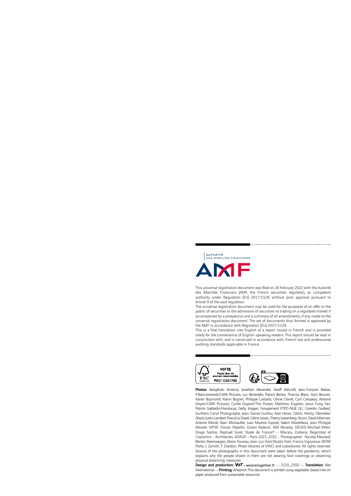

This universal registration document was filed on 28 February 2022 with the Autorité des Marchés Financiers (AMF, the French securities regulator), as competent authority under Regulation (EU) 2017/1129, without prior approval pursuant to Article 9 of the said regulation.

The universal registration document may be used for the purposes of an offer to the public of securities or the admission of securities to trading on a regulated market if accompanied by a prospectus and a summary of all amendments, if any, made to the universal registration document. The set of documents thus formed is approved by the AMF in accordance with Regulation (EU) 2017/1129.

This is a free translation into English of a report issued in French and is provided solely for the convenience of English-speaking readers. This report should be read in conjunction with, and is construed in accordance with, French law and professional auditing standards applicable in France.



Photos: Aerophoto America; Jonathan Alexandre; Geoff Ashcroft; Jean-François Badias; P. Banczerowski/CAPA Pictures; Luc Benevello; Patrick Berlan; Thomas Blanc; Yann Bouvier; Xavier Boymond; Yoann Bugnet; Philippe Castaño; Céline Clanet; Cyril Crespeau; Antoine Doyen/CAPA Pictures; Cyrille Dupont/The Pulses; Matthieu Engelen; Jesus Fung Yan; Patrick Gaillardin/Hanslucas; Getty Images; Groupement ETPO-NGE GC; Corentin Guilbert; Guilhem Canal Photographe; Jean-Daniel Guillou; Axel Heise; Cédric Helsly; Olemedia/ iStock; Justin Lambert; Pascal Le Doaré; Céline Levain; Thierry Lewenberg-Sturm; David Marmier; Antoine Monié; Alain Montaufier; Juan Moreno Espinel; Salem Mostefaoui; Jean-Philippe Moulet; MTW; Florian Pépellin; Dušan Radević; Will Recarey; DEGES-Michael-Ritter; Diogo Santos; Raphaël Soret; Stade de France® – Macary, Zublena, Regembal et Costantini – Architectes, ADAGP – Paris 2021-2022 – Photographer: Nicolas Moulard; Berten Steenwegen; Alexis Toureau; Jean-Luc Viart/Studio Viart; Francis Vigouroux; WOW Porto; J. Zamith; F. Zvardon; Photo libraries of VINCI and subsidiaries. All rights reserved. Several of the photographs in this document were taken before the pandemic, which explains why the people shown in them are not wearing face coverings or observing physical distancing measure

priyered all and production: WAT - wearetogether.fr - 2110\_2550 - Translation: Alto International — Printing: Arteprint. This document is printed using vegetable-based inks on *This document serves as universal registration document and annual nancial report.* paper produced from sustainable resources.